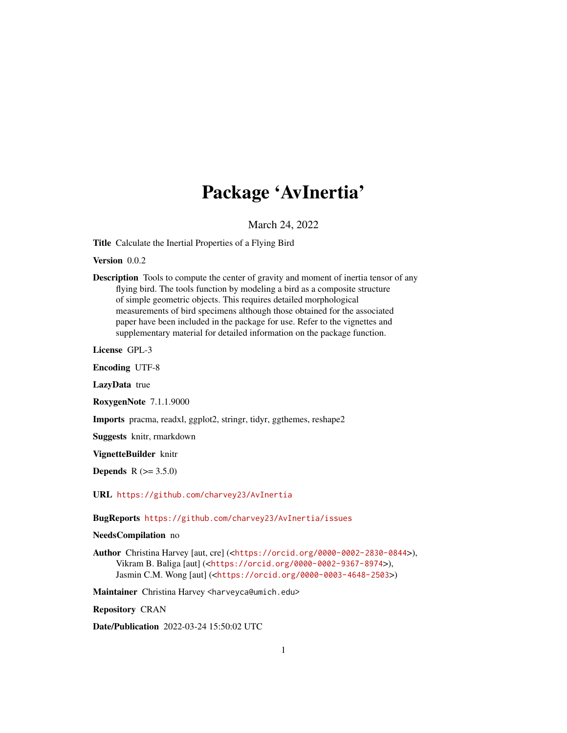## Package 'AvInertia'

March 24, 2022

Title Calculate the Inertial Properties of a Flying Bird

Version 0.0.2

Description Tools to compute the center of gravity and moment of inertia tensor of any flying bird. The tools function by modeling a bird as a composite structure of simple geometric objects. This requires detailed morphological measurements of bird specimens although those obtained for the associated paper have been included in the package for use. Refer to the vignettes and supplementary material for detailed information on the package function.

License GPL-3

Encoding UTF-8

LazyData true

RoxygenNote 7.1.1.9000

Imports pracma, readxl, ggplot2, stringr, tidyr, ggthemes, reshape2

Suggests knitr, rmarkdown

VignetteBuilder knitr

**Depends**  $R (= 3.5.0)$ 

URL <https://github.com/charvey23/AvInertia>

BugReports <https://github.com/charvey23/AvInertia/issues>

## NeedsCompilation no

Author Christina Harvey [aut, cre] (<<https://orcid.org/0000-0002-2830-0844>>), Vikram B. Baliga [aut] (<<https://orcid.org/0000-0002-9367-8974>>), Jasmin C.M. Wong [aut] (<<https://orcid.org/0000-0003-4648-2503>>)

Maintainer Christina Harvey <harveyca@umich.edu>

Repository CRAN

Date/Publication 2022-03-24 15:50:02 UTC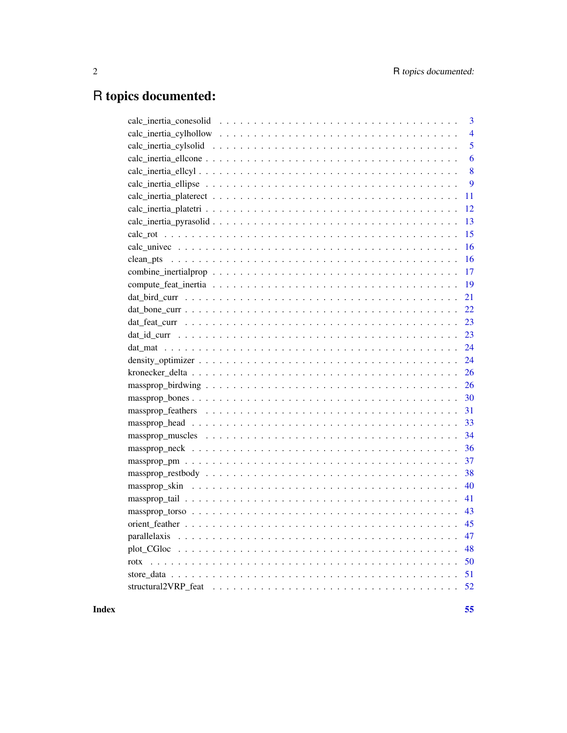## R topics documented:

| 3              |
|----------------|
| $\overline{4}$ |
| 5              |
| 6              |
| 8              |
| 9              |
| 11             |
| 12             |
| 13             |
| 15             |
| 16             |
| 16             |
| 17             |
| 19             |
| 21             |
| 22             |
| 23             |
| 23             |
| 24             |
| 24             |
| 26             |
| 26             |
| 30             |
| 31             |
| 33             |
| 34             |
| 36             |
| 37             |
| 38             |
| 40             |
| 41             |
| 43             |
| 45             |
| 47             |
| 48             |
| 50             |
|                |
|                |

Index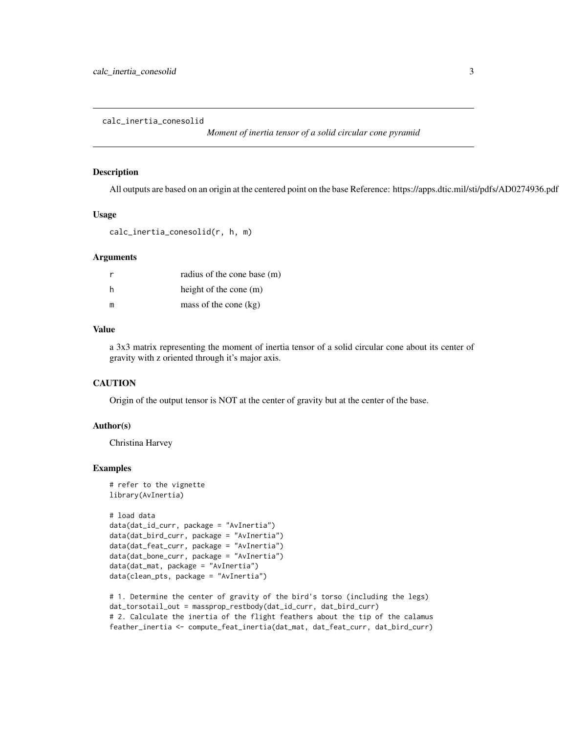<span id="page-2-0"></span>calc\_inertia\_conesolid

*Moment of inertia tensor of a solid circular cone pyramid*

#### Description

All outputs are based on an origin at the centered point on the base Reference: https://apps.dtic.mil/sti/pdfs/AD0274936.pdf

#### Usage

calc\_inertia\_conesolid(r, h, m)

## Arguments

|    | radius of the cone base (m) |
|----|-----------------------------|
| -h | height of the cone $(m)$    |
| m  | mass of the cone $(kg)$     |

#### Value

a 3x3 matrix representing the moment of inertia tensor of a solid circular cone about its center of gravity with z oriented through it's major axis.

## **CAUTION**

Origin of the output tensor is NOT at the center of gravity but at the center of the base.

## Author(s)

Christina Harvey

```
# refer to the vignette
library(AvInertia)
```

```
# load data
data(dat_id_curr, package = "AvInertia")
data(dat_bird_curr, package = "AvInertia")
data(dat_feat_curr, package = "AvInertia")
data(dat_bone_curr, package = "AvInertia")
data(dat_mat, package = "AvInertia")
data(clean_pts, package = "AvInertia")
```

```
# 1. Determine the center of gravity of the bird's torso (including the legs)
dat_torsotail_out = massprop_restbody(dat_id_curr, dat_bird_curr)
# 2. Calculate the inertia of the flight feathers about the tip of the calamus
feather_inertia <- compute_feat_inertia(dat_mat, dat_feat_curr, dat_bird_curr)
```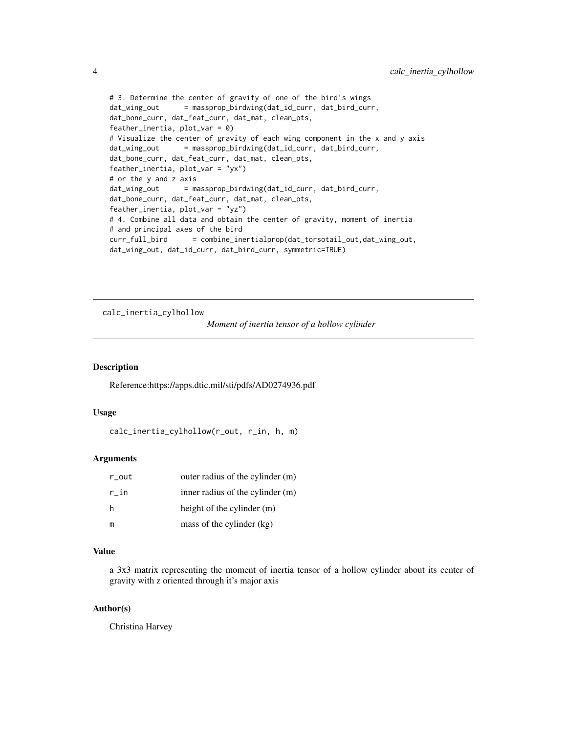```
# 3. Determine the center of gravity of one of the bird's wings
dat_wing_out = massprop_birdwing(dat_id_curr, dat_bird_curr,
dat_bone_curr, dat_feat_curr, dat_mat, clean_pts,
feather_inertia, plot\_var = 0)
# Visualize the center of gravity of each wing component in the x and y axis
dat_wing_out = massprop_birdwing(dat_id_curr, dat_bird_curr,
dat_bone_curr, dat_feat_curr, dat_mat, clean_pts,
feather_inertia, plot_var = "yx")
# or the y and z axis
dat_wing_out = massprop_birdwing(dat_id_curr, dat_bird_curr,
dat_bone_curr, dat_feat_curr, dat_mat, clean_pts,
feather_inertia, plot_var = "yz")
# 4. Combine all data and obtain the center of gravity, moment of inertia
# and principal axes of the bird
curr_full_bird = combine_inertialprop(dat_torsotail_out,dat_wing_out,
dat_wing_out, dat_id_curr, dat_bird_curr, symmetric=TRUE)
```
calc\_inertia\_cylhollow

*Moment of inertia tensor of a hollow cylinder*

## Description

Reference:https://apps.dtic.mil/sti/pdfs/AD0274936.pdf

## Usage

```
calc_inertia_cylhollow(r_out, r_in, h, m)
```
#### Arguments

| r_out | outer radius of the cylinder (m) |
|-------|----------------------------------|
| r in  | inner radius of the cylinder (m) |
| h     | height of the cylinder (m)       |
| m     | mass of the cylinder (kg)        |

#### Value

a 3x3 matrix representing the moment of inertia tensor of a hollow cylinder about its center of gravity with z oriented through it's major axis

## Author(s)

Christina Harvey

<span id="page-3-0"></span>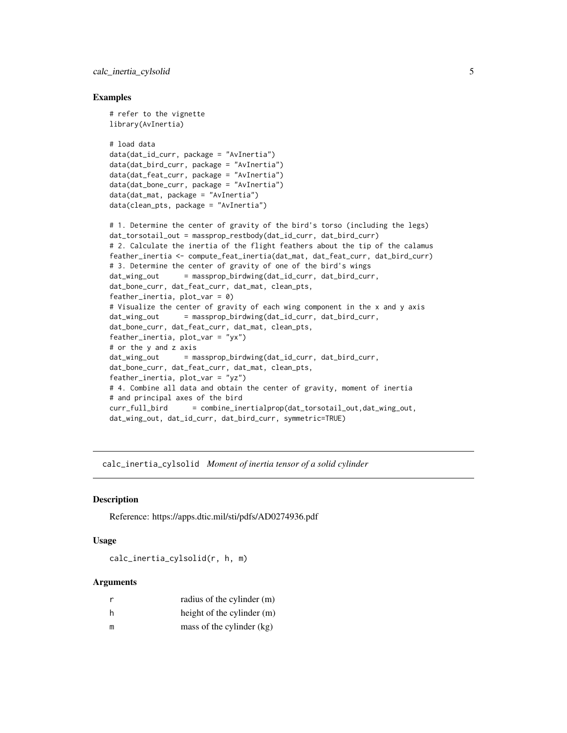<span id="page-4-0"></span>calc\_inertia\_cylsolid 5

#### Examples

```
# refer to the vignette
library(AvInertia)
# load data
data(dat_id_curr, package = "AvInertia")
data(dat_bird_curr, package = "AvInertia")
data(dat_feat_curr, package = "AvInertia")
data(dat_bone_curr, package = "AvInertia")
data(dat_mat, package = "AvInertia")
data(clean_pts, package = "AvInertia")
# 1. Determine the center of gravity of the bird's torso (including the legs)
dat_torsotail_out = massprop_restbody(dat_id_curr, dat_bird_curr)
# 2. Calculate the inertia of the flight feathers about the tip of the calamus
feather_inertia <- compute_feat_inertia(dat_mat, dat_feat_curr, dat_bird_curr)
# 3. Determine the center of gravity of one of the bird's wings
dat_wing_out = massprop_birdwing(dat_id_curr, dat_bird_curr,
dat_bone_curr, dat_feat_curr, dat_mat, clean_pts,
feather_inertia, plot_var = 0)
# Visualize the center of gravity of each wing component in the x and y axis
dat_wing_out = massprop_birdwing(dat_id_curr, dat_bird_curr,
dat_bone_curr, dat_feat_curr, dat_mat, clean_pts,
feather_inertia, plot_var = "yx")
# or the y and z axis
dat_wing_out = massprop_birdwing(dat_id_curr, dat_bird_curr,
dat_bone_curr, dat_feat_curr, dat_mat, clean_pts,
feather_inertia, plot_var = "yz")
# 4. Combine all data and obtain the center of gravity, moment of inertia
# and principal axes of the bird
curr_full_bird = combine_inertialprop(dat_torsotail_out,dat_wing_out,
dat_wing_out, dat_id_curr, dat_bird_curr, symmetric=TRUE)
```
calc\_inertia\_cylsolid *Moment of inertia tensor of a solid cylinder*

#### Description

Reference: https://apps.dtic.mil/sti/pdfs/AD0274936.pdf

#### Usage

calc\_inertia\_cylsolid(r, h, m)

#### Arguments

| r | radius of the cylinder (m) |
|---|----------------------------|
| h | height of the cylinder (m) |
| m | mass of the cylinder (kg)  |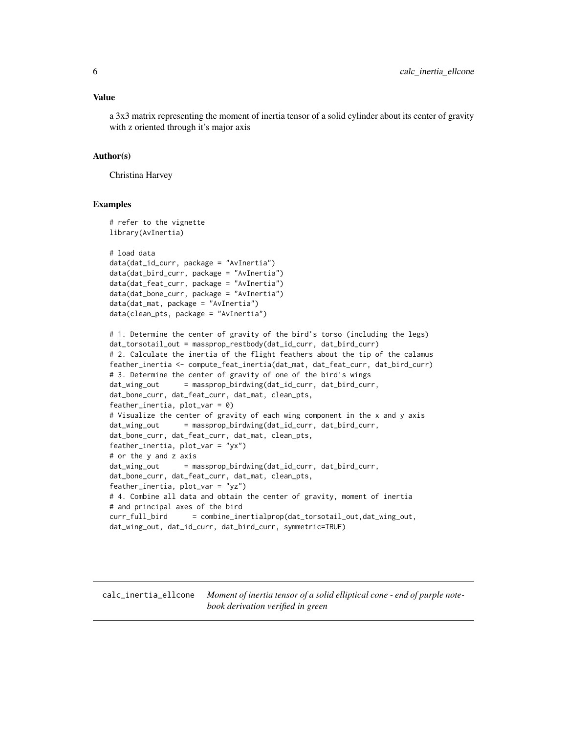<span id="page-5-0"></span>a 3x3 matrix representing the moment of inertia tensor of a solid cylinder about its center of gravity with z oriented through it's major axis

#### Author(s)

Christina Harvey

#### Examples

```
# refer to the vignette
library(AvInertia)
# load data
data(dat_id_curr, package = "AvInertia")
data(dat_bird_curr, package = "AvInertia")
data(dat_feat_curr, package = "AvInertia")
data(dat_bone_curr, package = "AvInertia")
data(dat_mat, package = "AvInertia")
data(clean_pts, package = "AvInertia")
# 1. Determine the center of gravity of the bird's torso (including the legs)
dat_torsotail_out = massprop_restbody(dat_id_curr, dat_bird_curr)
# 2. Calculate the inertia of the flight feathers about the tip of the calamus
feather_inertia <- compute_feat_inertia(dat_mat, dat_feat_curr, dat_bird_curr)
# 3. Determine the center of gravity of one of the bird's wings
dat_wing_out = massprop_birdwing(dat_id_curr, dat_bird_curr,
dat_bone_curr, dat_feat_curr, dat_mat, clean_pts,
feather_inertia, plot_var = 0)
# Visualize the center of gravity of each wing component in the x and y axis
dat_wing_out = massprop_birdwing(dat_id_curr, dat_bird_curr,
dat_bone_curr, dat_feat_curr, dat_mat, clean_pts,
feather_inertia, plot_var = "yx")
# or the y and z axis
dat_wing_out = massprop_birdwing(dat_id_curr, dat_bird_curr,
dat_bone_curr, dat_feat_curr, dat_mat, clean_pts,
feather_inertia, plot_{var} = "yz")# 4. Combine all data and obtain the center of gravity, moment of inertia
# and principal axes of the bird
curr_full_bird = combine_inertialprop(dat_torsotail_out,dat_wing_out,
dat_wing_out, dat_id_curr, dat_bird_curr, symmetric=TRUE)
```
calc\_inertia\_ellcone *Moment of inertia tensor of a solid elliptical cone - end of purple notebook derivation verified in green*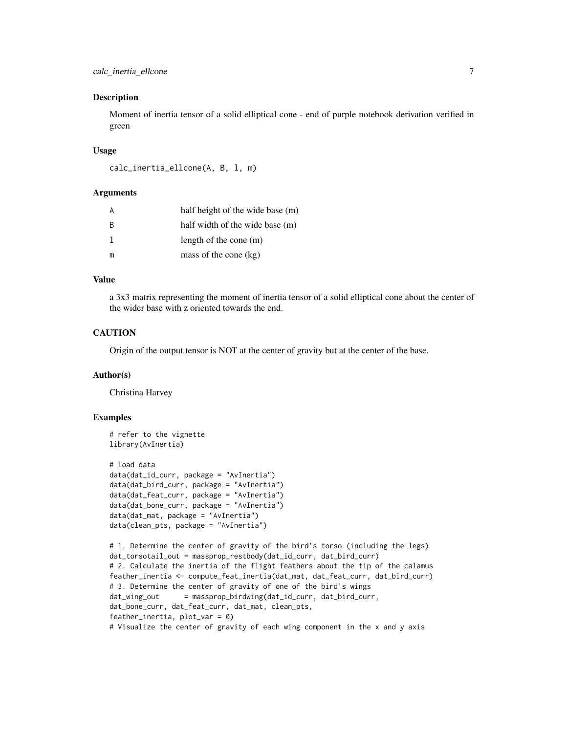#### Description

Moment of inertia tensor of a solid elliptical cone - end of purple notebook derivation verified in green

#### Usage

```
calc_inertia_ellcone(A, B, l, m)
```
#### Arguments

|     | half height of the wide base (m) |
|-----|----------------------------------|
| - B | half width of the wide base (m)  |
|     | length of the cone $(m)$         |
| m   | mass of the cone $(kg)$          |

## Value

a 3x3 matrix representing the moment of inertia tensor of a solid elliptical cone about the center of the wider base with z oriented towards the end.

## **CAUTION**

Origin of the output tensor is NOT at the center of gravity but at the center of the base.

#### Author(s)

Christina Harvey

```
# refer to the vignette
library(AvInertia)
# load data
data(dat_id_curr, package = "AvInertia")
data(dat_bird_curr, package = "AvInertia")
data(dat_feat_curr, package = "AvInertia")
data(dat_bone_curr, package = "AvInertia")
data(dat_mat, package = "AvInertia")
data(clean_pts, package = "AvInertia")
# 1. Determine the center of gravity of the bird's torso (including the legs)
dat_torsotail_out = massprop_restbody(dat_id_curr, dat_bird_curr)
# 2. Calculate the inertia of the flight feathers about the tip of the calamus
feather_inertia <- compute_feat_inertia(dat_mat, dat_feat_curr, dat_bird_curr)
# 3. Determine the center of gravity of one of the bird's wings
dat_wing_out = massprop_birdwing(dat_id_curr, dat_bird_curr,
dat_bone_curr, dat_feat_curr, dat_mat, clean_pts,
feather_inertia, plot_var = 0)
# Visualize the center of gravity of each wing component in the x and y axis
```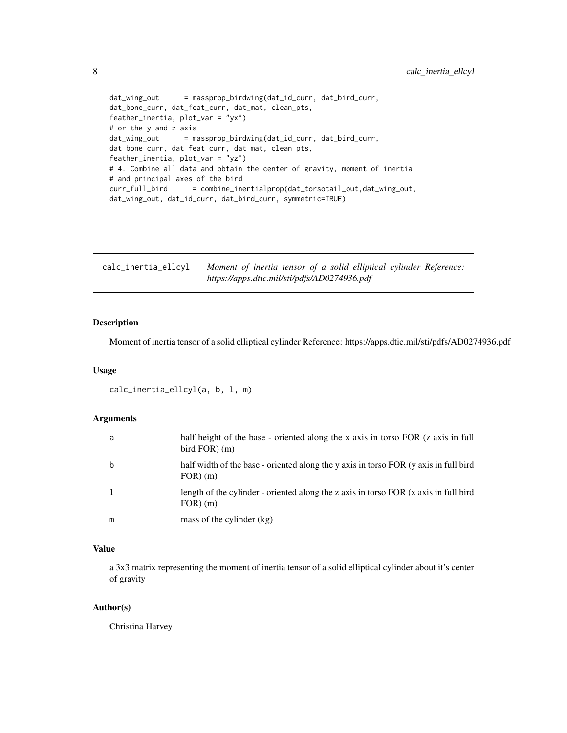```
dat_wing_out = massprop_birdwing(dat_id_curr, dat_bird_curr,
dat_bone_curr, dat_feat_curr, dat_mat, clean_pts,
feather_inertia, plot_var = "yx")
# or the y and z axis
dat_wing_out = massprop_birdwing(dat_id_curr, dat_bird_curr,
dat_bone_curr, dat_feat_curr, dat_mat, clean_pts,
feather_inertia, plot_var = "yz")
# 4. Combine all data and obtain the center of gravity, moment of inertia
# and principal axes of the bird
curr_full_bird = combine_inertialprop(dat_torsotail_out,dat_wing_out,
dat_wing_out, dat_id_curr, dat_bird_curr, symmetric=TRUE)
```

| calc_inertia_ellcyl | Moment of inertia tensor of a solid elliptical cylinder Reference: |  |  |  |
|---------------------|--------------------------------------------------------------------|--|--|--|
|                     | https://apps.dtic.mil/sti/pdfs/AD0274936.pdf                       |  |  |  |

## Description

Moment of inertia tensor of a solid elliptical cylinder Reference: https://apps.dtic.mil/sti/pdfs/AD0274936.pdf

#### Usage

```
calc_inertia_ellcyl(a, b, l, m)
```
## Arguments

| a | half height of the base - oriented along the x axis in torso FOR (z axis in full<br>bird $FOR$ ) $(m)$ |
|---|--------------------------------------------------------------------------------------------------------|
| b | half width of the base - oriented along the y axis in torso FOR (y axis in full bird<br>$FOR$ $(m)$    |
|   | length of the cylinder - oriented along the z axis in torso FOR (x axis in full bird<br>$FOR$ $(m)$    |
| m | mass of the cylinder (kg)                                                                              |

## Value

a 3x3 matrix representing the moment of inertia tensor of a solid elliptical cylinder about it's center of gravity

#### Author(s)

Christina Harvey

<span id="page-7-0"></span>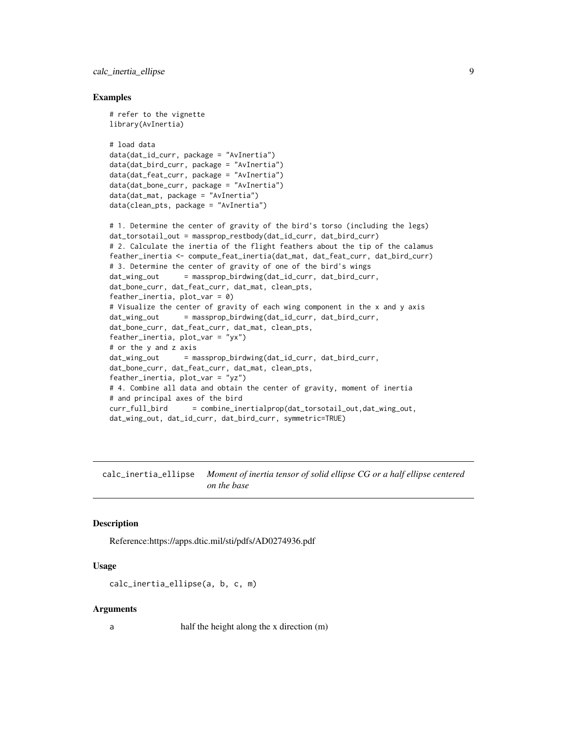<span id="page-8-0"></span>calc\_inertia\_ellipse 9

#### Examples

```
# refer to the vignette
library(AvInertia)
# load data
data(dat_id_curr, package = "AvInertia")
data(dat_bird_curr, package = "AvInertia")
data(dat_feat_curr, package = "AvInertia")
data(dat_bone_curr, package = "AvInertia")
data(dat_mat, package = "AvInertia")
data(clean_pts, package = "AvInertia")
# 1. Determine the center of gravity of the bird's torso (including the legs)
dat_torsotail_out = massprop_restbody(dat_id_curr, dat_bird_curr)
# 2. Calculate the inertia of the flight feathers about the tip of the calamus
feather_inertia <- compute_feat_inertia(dat_mat, dat_feat_curr, dat_bird_curr)
# 3. Determine the center of gravity of one of the bird's wings
dat_wing_out = massprop_birdwing(dat_id_curr, dat_bird_curr,
dat_bone_curr, dat_feat_curr, dat_mat, clean_pts,
feather_inertia, plot\_var = 0)
# Visualize the center of gravity of each wing component in the x and y axis
dat_wing_out = massprop_birdwing(dat_id_curr, dat_bird_curr,
dat_bone_curr, dat_feat_curr, dat_mat, clean_pts,
feather_inertia, plot_var = "yx")
# or the y and z axis
dat_wing_out = massprop_birdwing(dat_id_curr, dat_bird_curr,
dat_bone_curr, dat_feat_curr, dat_mat, clean_pts,
feather_inertia, plot_var = "yz")
# 4. Combine all data and obtain the center of gravity, moment of inertia
# and principal axes of the bird
curr_full_bird = combine_inertialprop(dat_torsotail_out,dat_wing_out,
dat_wing_out, dat_id_curr, dat_bird_curr, symmetric=TRUE)
```
calc\_inertia\_ellipse *Moment of inertia tensor of solid ellipse CG or a half ellipse centered on the base*

#### Description

Reference:https://apps.dtic.mil/sti/pdfs/AD0274936.pdf

## Usage

```
calc_inertia_ellipse(a, b, c, m)
```
#### Arguments

a half the height along the x direction (m)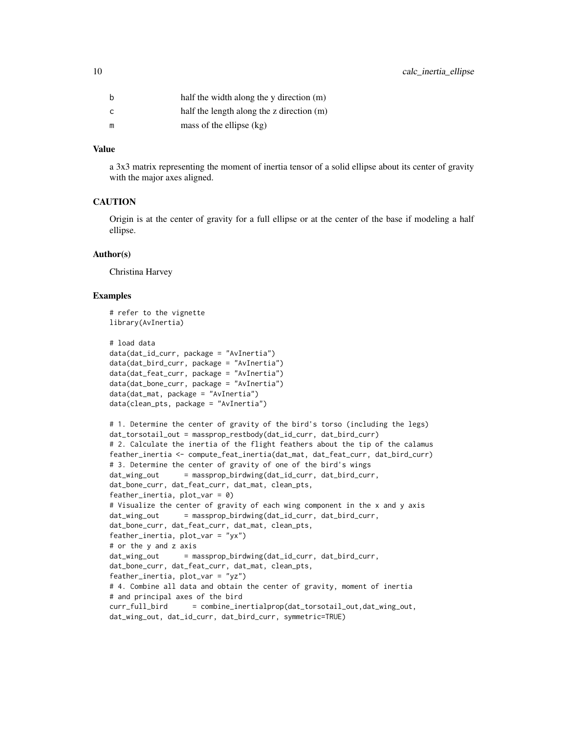| b  | half the width along the y direction (m)    |
|----|---------------------------------------------|
| C. | half the length along the z direction $(m)$ |
| m  | mass of the ellipse $(kg)$                  |

#### Value

a 3x3 matrix representing the moment of inertia tensor of a solid ellipse about its center of gravity with the major axes aligned.

## **CAUTION**

Origin is at the center of gravity for a full ellipse or at the center of the base if modeling a half ellipse.

#### Author(s)

Christina Harvey

```
# refer to the vignette
library(AvInertia)
# load data
data(dat_id_curr, package = "AvInertia")
data(dat_bird_curr, package = "AvInertia")
data(dat_feat_curr, package = "AvInertia")
data(dat_bone_curr, package = "AvInertia")
data(dat_mat, package = "AvInertia")
data(clean_pts, package = "AvInertia")
# 1. Determine the center of gravity of the bird's torso (including the legs)
dat_torsotail_out = massprop_restbody(dat_id_curr, dat_bird_curr)
# 2. Calculate the inertia of the flight feathers about the tip of the calamus
feather_inertia <- compute_feat_inertia(dat_mat, dat_feat_curr, dat_bird_curr)
# 3. Determine the center of gravity of one of the bird's wings
dat_wing_out = massprop_birdwing(dat_id_curr, dat_bird_curr,
dat_bone_curr, dat_feat_curr, dat_mat, clean_pts,
feather_inertia, plot_var = 0)
# Visualize the center of gravity of each wing component in the x and y axis
dat_wing_out = massprop_birdwing(dat_id_curr, dat_bird_curr,
dat_bone_curr, dat_feat_curr, dat_mat, clean_pts,
feather_inertia, plot_var = "yx")
# or the y and z axis
dat_wing_out = massprop_birdwing(dat_id_curr, dat_bird_curr,
dat_bone_curr, dat_feat_curr, dat_mat, clean_pts,
feather_inertia, plot_var = "yz")
# 4. Combine all data and obtain the center of gravity, moment of inertia
# and principal axes of the bird
curr_full_bird = combine_inertialprop(dat_torsotail_out,dat_wing_out,
dat_wing_out, dat_id_curr, dat_bird_curr, symmetric=TRUE)
```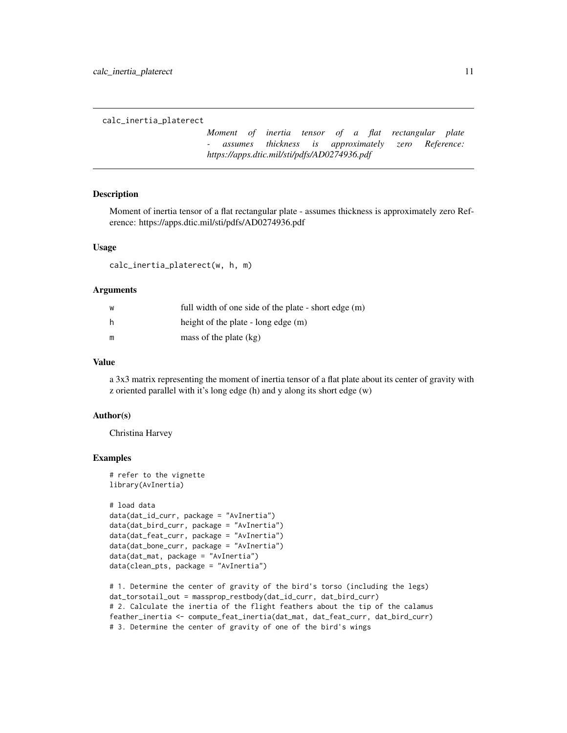<span id="page-10-0"></span>calc\_inertia\_platerect

*Moment of inertia tensor of a flat rectangular plate - assumes thickness is approximately zero Reference: https://apps.dtic.mil/sti/pdfs/AD0274936.pdf*

### Description

Moment of inertia tensor of a flat rectangular plate - assumes thickness is approximately zero Reference: https://apps.dtic.mil/sti/pdfs/AD0274936.pdf

## Usage

calc\_inertia\_platerect(w, h, m)

#### Arguments

| W | full width of one side of the plate - short edge (m) |
|---|------------------------------------------------------|
| h | height of the plate - long edge (m)                  |
| m | mass of the plate $(kg)$                             |

## Value

a 3x3 matrix representing the moment of inertia tensor of a flat plate about its center of gravity with z oriented parallel with it's long edge (h) and y along its short edge (w)

#### Author(s)

Christina Harvey

```
# refer to the vignette
library(AvInertia)
# load data
data(dat_id_curr, package = "AvInertia")
data(dat_bird_curr, package = "AvInertia")
data(dat_feat_curr, package = "AvInertia")
data(dat_bone_curr, package = "AvInertia")
data(dat_mat, package = "AvInertia")
data(clean_pts, package = "AvInertia")
```

```
# 1. Determine the center of gravity of the bird's torso (including the legs)
dat_torsotail_out = massprop_restbody(dat_id_curr, dat_bird_curr)
# 2. Calculate the inertia of the flight feathers about the tip of the calamus
feather_inertia <- compute_feat_inertia(dat_mat, dat_feat_curr, dat_bird_curr)
# 3. Determine the center of gravity of one of the bird's wings
```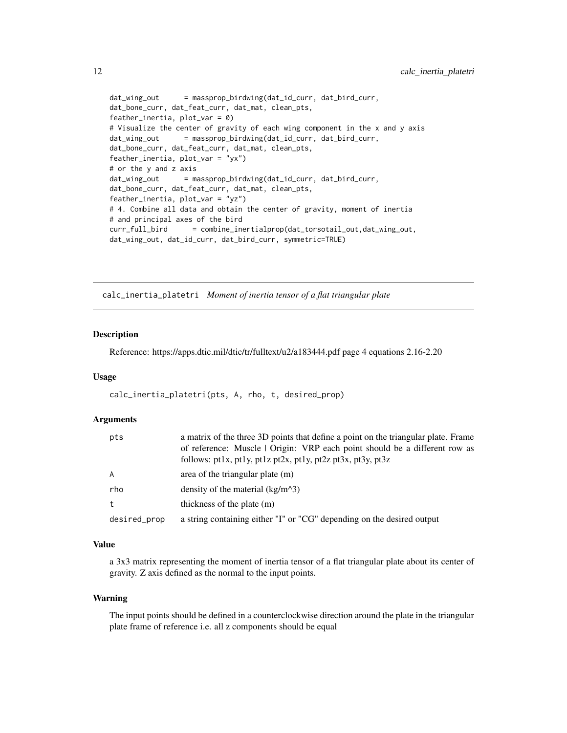```
dat_wing_out = massprop_birdwing(dat_id_curr, dat_bird_curr,
dat_bone_curr, dat_feat_curr, dat_mat, clean_pts,
feather_inertia, plot_var = 0)
# Visualize the center of gravity of each wing component in the x and y axis
dat_wing_out = massprop_birdwing(dat_id_curr, dat_bird_curr,
dat_bone_curr, dat_feat_curr, dat_mat, clean_pts,
feather_inertia, plot_var = "yx")
# or the y and z axis
dat_wing_out = massprop_birdwing(dat_id_curr, dat_bird_curr,
dat_bone_curr, dat_feat_curr, dat_mat, clean_pts,
feather_inertia, plot_var = "yz")
# 4. Combine all data and obtain the center of gravity, moment of inertia
# and principal axes of the bird
curr_full_bird = combine_inertialprop(dat_torsotail_out,dat_wing_out,
dat_wing_out, dat_id_curr, dat_bird_curr, symmetric=TRUE)
```
calc\_inertia\_platetri *Moment of inertia tensor of a flat triangular plate*

#### Description

Reference: https://apps.dtic.mil/dtic/tr/fulltext/u2/a183444.pdf page 4 equations 2.16-2.20

## Usage

calc\_inertia\_platetri(pts, A, rho, t, desired\_prop)

#### Arguments

| pts          | a matrix of the three 3D points that define a point on the triangular plate. Frame<br>of reference: Muscle   Origin: VRP each point should be a different row as<br>follows: $pt1x$ , $pt1y$ , $pt1z$ $pt2x$ , $pt1y$ , $pt2z$ $pt3x$ , $pt3y$ , $pt3z$ |
|--------------|---------------------------------------------------------------------------------------------------------------------------------------------------------------------------------------------------------------------------------------------------------|
| A            | area of the triangular plate $(m)$                                                                                                                                                                                                                      |
| rho          | density of the material $(kg/m^3)$                                                                                                                                                                                                                      |
| t            | thickness of the plate (m)                                                                                                                                                                                                                              |
| desired_prop | a string containing either "I" or "CG" depending on the desired output                                                                                                                                                                                  |

#### Value

a 3x3 matrix representing the moment of inertia tensor of a flat triangular plate about its center of gravity. Z axis defined as the normal to the input points.

#### Warning

The input points should be defined in a counterclockwise direction around the plate in the triangular plate frame of reference i.e. all z components should be equal

<span id="page-11-0"></span>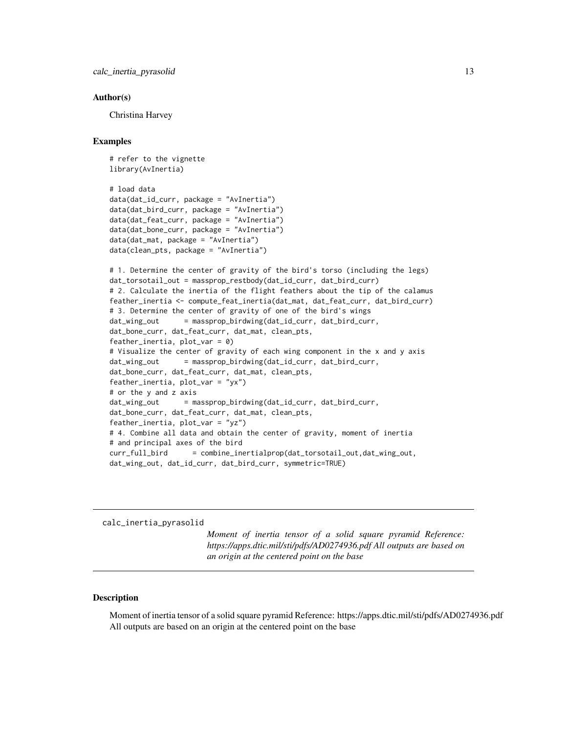#### <span id="page-12-0"></span>Author(s)

Christina Harvey

#### Examples

```
# refer to the vignette
library(AvInertia)
# load data
data(dat_id_curr, package = "AvInertia")
data(dat_bird_curr, package = "AvInertia")
data(dat_feat_curr, package = "AvInertia")
data(dat_bone_curr, package = "AvInertia")
data(dat_mat, package = "AvInertia")
data(clean_pts, package = "AvInertia")
# 1. Determine the center of gravity of the bird's torso (including the legs)
dat_torsotail_out = massprop_restbody(dat_id_curr, dat_bird_curr)
# 2. Calculate the inertia of the flight feathers about the tip of the calamus
feather_inertia <- compute_feat_inertia(dat_mat, dat_feat_curr, dat_bird_curr)
# 3. Determine the center of gravity of one of the bird's wings
dat_wing_out = massprop_birdwing(dat_id_curr, dat_bird_curr,
dat_bone_curr, dat_feat_curr, dat_mat, clean_pts,
feather_inertia, plot_var = 0)
# Visualize the center of gravity of each wing component in the x and y axis
dat_wing_out = massprop_birdwing(dat_id_curr, dat_bird_curr,
dat_bone_curr, dat_feat_curr, dat_mat, clean_pts,
feather_inertia, plot_var = "yx")
# or the y and z axis
dat_wing_out = massprop_birdwing(dat_id_curr, dat_bird_curr,
dat_bone_curr, dat_feat_curr, dat_mat, clean_pts,
feather_inertia, plot_var = "yz")
# 4. Combine all data and obtain the center of gravity, moment of inertia
# and principal axes of the bird
curr_full_bird = combine_inertialprop(dat_torsotail_out,dat_wing_out,
dat_wing_out, dat_id_curr, dat_bird_curr, symmetric=TRUE)
```
calc\_inertia\_pyrasolid

*Moment of inertia tensor of a solid square pyramid Reference: https://apps.dtic.mil/sti/pdfs/AD0274936.pdf All outputs are based on an origin at the centered point on the base*

#### Description

Moment of inertia tensor of a solid square pyramid Reference: https://apps.dtic.mil/sti/pdfs/AD0274936.pdf All outputs are based on an origin at the centered point on the base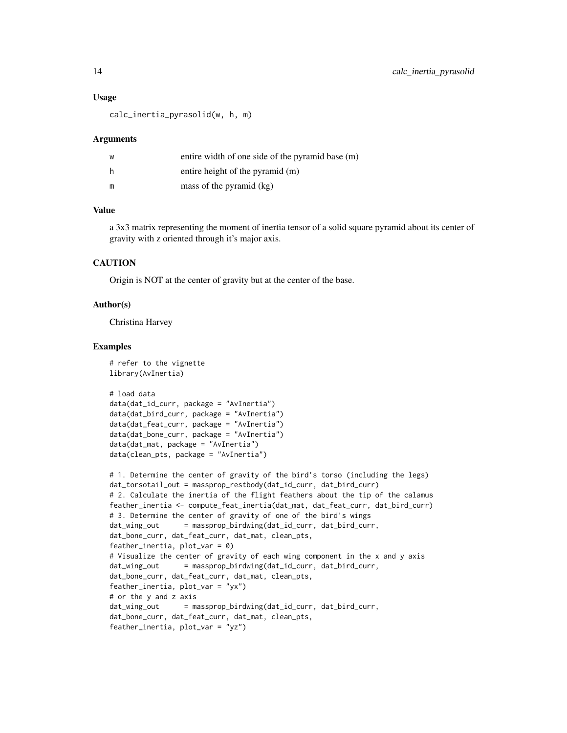#### Usage

calc\_inertia\_pyrasolid(w, h, m)

#### Arguments

| W | entire width of one side of the pyramid base (m) |
|---|--------------------------------------------------|
| h | entire height of the pyramid (m)                 |
| m | mass of the pyramid (kg)                         |

#### Value

a 3x3 matrix representing the moment of inertia tensor of a solid square pyramid about its center of gravity with z oriented through it's major axis.

## **CAUTION**

Origin is NOT at the center of gravity but at the center of the base.

#### Author(s)

Christina Harvey

```
# refer to the vignette
library(AvInertia)
# load data
data(dat_id_curr, package = "AvInertia")
data(dat_bird_curr, package = "AvInertia")
data(dat_feat_curr, package = "AvInertia")
data(dat_bone_curr, package = "AvInertia")
data(dat_mat, package = "AvInertia")
data(clean_pts, package = "AvInertia")
# 1. Determine the center of gravity of the bird's torso (including the legs)
dat_torsotail_out = massprop_restbody(dat_id_curr, dat_bird_curr)
# 2. Calculate the inertia of the flight feathers about the tip of the calamus
feather_inertia <- compute_feat_inertia(dat_mat, dat_feat_curr, dat_bird_curr)
# 3. Determine the center of gravity of one of the bird's wings
dat_wing_out = massprop_birdwing(dat_id_curr, dat_bird_curr,
dat_bone_curr, dat_feat_curr, dat_mat, clean_pts,
feather_inertia, plot_var = 0)
# Visualize the center of gravity of each wing component in the x and y axis
dat_wing_out = massprop_birdwing(dat_id_curr, dat_bird_curr,
dat_bone_curr, dat_feat_curr, dat_mat, clean_pts,
feather_inertia, plot_var = "yx")
# or the y and z axis
dat_wing_out = massprop_birdwing(dat_id_curr, dat_bird_curr,
dat_bone_curr, dat_feat_curr, dat_mat, clean_pts,
feather_inertia, plot_var = "yz")
```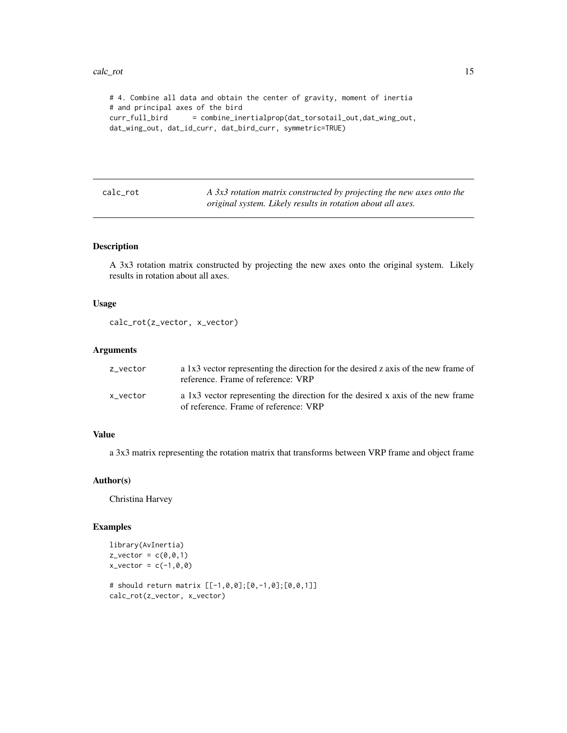```
# 4. Combine all data and obtain the center of gravity, moment of inertia
# and principal axes of the bird
curr_full_bird = combine_inertialprop(dat_torsotail_out,dat_wing_out,
dat_wing_out, dat_id_curr, dat_bird_curr, symmetric=TRUE)
```

| cal. | Ί. | O. |
|------|----|----|
|      |    |    |

A 3x3 rotation matrix constructed by projecting the new axes onto the *original system. Likely results in rotation about all axes.*

## Description

A 3x3 rotation matrix constructed by projecting the new axes onto the original system. Likely results in rotation about all axes.

#### Usage

```
calc_rot(z_vector, x_vector)
```
## Arguments

| z_vector | a 1x3 vector representing the direction for the desired z axis of the new frame of<br>reference. Frame of reference: VRP |
|----------|--------------------------------------------------------------------------------------------------------------------------|
| x vector | a 1x3 vector representing the direction for the desired x axis of the new frame<br>of reference. Frame of reference: VRP |

## Value

a 3x3 matrix representing the rotation matrix that transforms between VRP frame and object frame

#### Author(s)

Christina Harvey

```
library(AvInertia)
z<sub>-</sub>vector = c(0,0,1)
x\_vector = c(-1, 0, 0)# should return matrix [[-1,0,0];[0,-1,0];[0,0,1]]
```

```
calc_rot(z_vector, x_vector)
```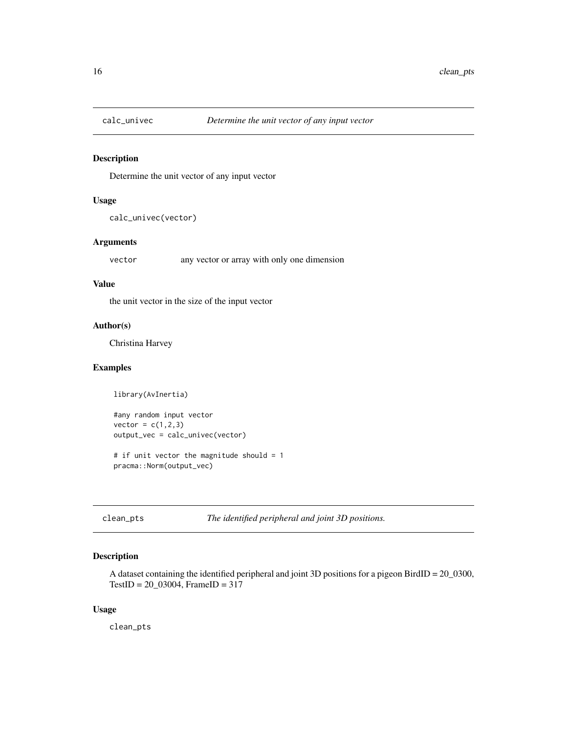<span id="page-15-0"></span>

## Description

Determine the unit vector of any input vector

#### Usage

```
calc_univec(vector)
```
## Arguments

vector any vector or array with only one dimension

#### Value

the unit vector in the size of the input vector

## Author(s)

Christina Harvey

## Examples

library(AvInertia)

#any random input vector  $vector = c(1, 2, 3)$ output\_vec = calc\_univec(vector)

# if unit vector the magnitude should = 1 pracma::Norm(output\_vec)

clean\_pts *The identified peripheral and joint 3D positions.*

## Description

A dataset containing the identified peripheral and joint 3D positions for a pigeon BirdID = 20\_0300, TestID = 20\_03004, FrameID = 317

#### Usage

clean\_pts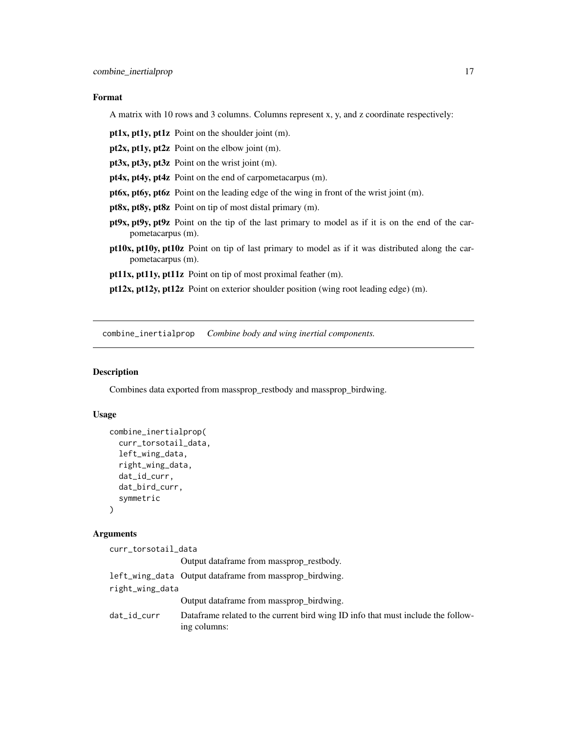## <span id="page-16-0"></span>Format

A matrix with 10 rows and 3 columns. Columns represent x, y, and z coordinate respectively:

pt1x, pt1y, pt1z Point on the shoulder joint (m).

pt2x, pt1y, pt2z Point on the elbow joint (m).

pt3x, pt3y, pt3z Point on the wrist joint (m).

pt4x, pt4y, pt4z Point on the end of carpometacarpus (m).

pt6x, pt6y, pt6z Point on the leading edge of the wing in front of the wrist joint (m).

pt8x, pt8y, pt8z Point on tip of most distal primary (m).

- pt9x, pt9y, pt9z Point on the tip of the last primary to model as if it is on the end of the carpometacarpus (m).
- pt10x, pt10y, pt10z Point on tip of last primary to model as if it was distributed along the carpometacarpus (m).

pt11x, pt11y, pt11z Point on tip of most proximal feather (m).

pt12x, pt12y, pt12z Point on exterior shoulder position (wing root leading edge) (m).

combine\_inertialprop *Combine body and wing inertial components.*

## Description

Combines data exported from massprop\_restbody and massprop\_birdwing.

#### Usage

```
combine_inertialprop(
  curr_torsotail_data,
  left_wing_data,
  right_wing_data,
  dat_id_curr,
  dat_bird_curr,
  symmetric
)
```
## Arguments

| curr_torsotail_data |                                                                                                  |
|---------------------|--------------------------------------------------------------------------------------------------|
|                     | Output dataframe from massprop restbody.                                                         |
|                     | left_wing_data Output dataframe from massprop birdwing.                                          |
| right_wing_data     |                                                                                                  |
|                     | Output dataframe from massprop birdwing.                                                         |
| dat_id_curr         | Dataframe related to the current bird wing ID info that must include the follow-<br>ing columns: |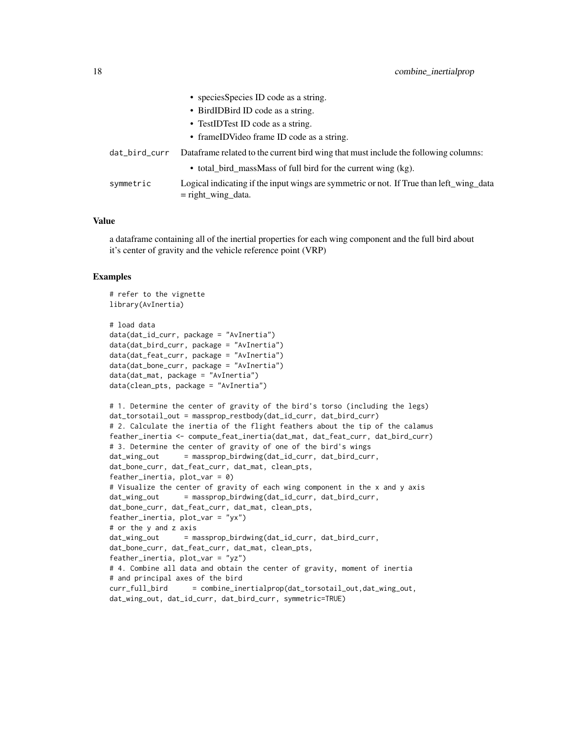|               | • species Species ID code as a string.                                                                          |
|---------------|-----------------------------------------------------------------------------------------------------------------|
|               | • BirdIDBird ID code as a string.                                                                               |
|               | • TestIDTest ID code as a string.                                                                               |
|               | • frameIDVideo frame ID code as a string.                                                                       |
| dat_bird_curr | Dataframe related to the current bird wing that must include the following columns:                             |
|               | • total_bird_massMass of full bird for the current wing (kg).                                                   |
| symmetric     | Logical indicating if the input wings are symmetric or not. If True than left_wing_data<br>$=$ right_wing_data. |

## Value

a dataframe containing all of the inertial properties for each wing component and the full bird about it's center of gravity and the vehicle reference point (VRP)

```
# refer to the vignette
library(AvInertia)
# load data
data(dat_id_curr, package = "AvInertia")
data(dat_bird_curr, package = "AvInertia")
data(dat_feat_curr, package = "AvInertia")
data(dat_bone_curr, package = "AvInertia")
data(dat_mat, package = "AvInertia")
data(clean_pts, package = "AvInertia")
# 1. Determine the center of gravity of the bird's torso (including the legs)
dat_torsotail_out = massprop_restbody(dat_id_curr, dat_bird_curr)
# 2. Calculate the inertia of the flight feathers about the tip of the calamus
feather_inertia <- compute_feat_inertia(dat_mat, dat_feat_curr, dat_bird_curr)
# 3. Determine the center of gravity of one of the bird's wings
dat_wing_out = massprop_birdwing(dat_id_curr, dat_bird_curr,
dat_bone_curr, dat_feat_curr, dat_mat, clean_pts,
feather_inertia, plot_var = 0)
# Visualize the center of gravity of each wing component in the x and y axis
dat_wing_out = massprop_birdwing(dat_id_curr, dat_bird_curr,
dat_bone_curr, dat_feat_curr, dat_mat, clean_pts,
feather_inertia, plot_var = "yx")
# or the y and z axis
dat_wing_out = massprop_birdwing(dat_id_curr, dat_bird_curr,
dat_bone_curr, dat_feat_curr, dat_mat, clean_pts,
feather_inertia, plot_var = "yz")
# 4. Combine all data and obtain the center of gravity, moment of inertia
# and principal axes of the bird
curr_full_bird = combine_inertialprop(dat_torsotail_out,dat_wing_out,
dat_wing_out, dat_id_curr, dat_bird_curr, symmetric=TRUE)
```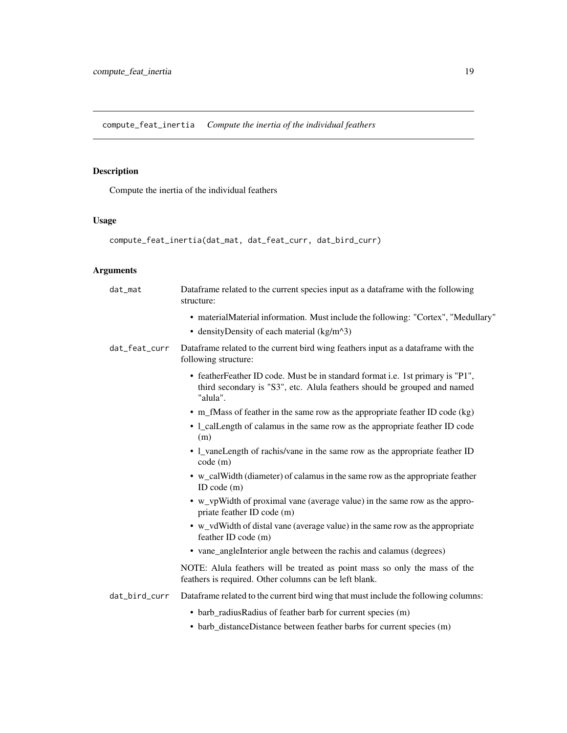<span id="page-18-0"></span>compute\_feat\_inertia *Compute the inertia of the individual feathers*

## Description

Compute the inertia of the individual feathers

## Usage

```
compute_feat_inertia(dat_mat, dat_feat_curr, dat_bird_curr)
```
## Arguments

| dat_mat       | Dataframe related to the current species input as a dataframe with the following<br>structure:                                                                          |
|---------------|-------------------------------------------------------------------------------------------------------------------------------------------------------------------------|
|               | • materialMaterial information. Must include the following: "Cortex", "Medullary"<br>• density Density of each material $(kg/m^3)$                                      |
| dat_feat_curr | Dataframe related to the current bird wing feathers input as a dataframe with the<br>following structure:                                                               |
|               | • feather Feather ID code. Must be in standard format i.e. 1st primary is "P1",<br>third secondary is "S3", etc. Alula feathers should be grouped and named<br>"alula". |
|               | • m_fMass of feather in the same row as the appropriate feather ID code $(kg)$                                                                                          |
|               | • 1_calLength of calamus in the same row as the appropriate feather ID code<br>(m)                                                                                      |
|               | • 1_vaneLength of rachis/vane in the same row as the appropriate feather ID<br>code(m)                                                                                  |
|               | • w_calWidth (diameter) of calamus in the same row as the appropriate feather<br>ID code $(m)$                                                                          |
|               | • w_vpWidth of proximal vane (average value) in the same row as the appro-<br>priate feather ID code (m)                                                                |
|               | • w_vdWidth of distal vane (average value) in the same row as the appropriate<br>feather ID code (m)                                                                    |
|               | • vane_angleInterior angle between the rachis and calamus (degrees)                                                                                                     |
|               | NOTE: Alula feathers will be treated as point mass so only the mass of the<br>feathers is required. Other columns can be left blank.                                    |
| dat_bird_curr | Dataframe related to the current bird wing that must include the following columns:                                                                                     |
|               | • barb_radiusRadius of feather barb for current species (m)                                                                                                             |
|               | • barb_distanceDistance between feather barbs for current species (m)                                                                                                   |
|               |                                                                                                                                                                         |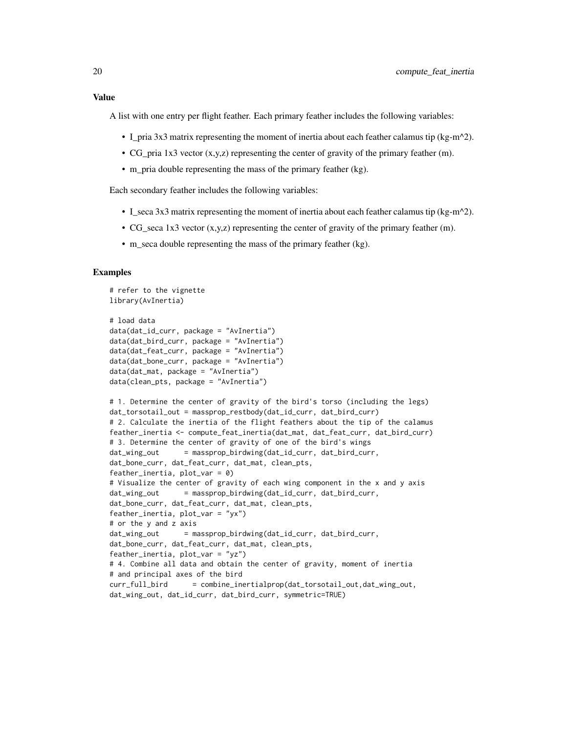## Value

A list with one entry per flight feather. Each primary feather includes the following variables:

- L\_pria 3x3 matrix representing the moment of inertia about each feather calamus tip (kg-m^2).
- CG\_pria 1x3 vector (x,y,z) representing the center of gravity of the primary feather (m).
- m\_pria double representing the mass of the primary feather (kg).

Each secondary feather includes the following variables:

- I\_seca 3x3 matrix representing the moment of inertia about each feather calamus tip (kg-m^2).
- CG\_seca 1x3 vector (x,y,z) representing the center of gravity of the primary feather (m).
- m\_seca double representing the mass of the primary feather (kg).

```
# refer to the vignette
library(AvInertia)
# load data
data(dat_id_curr, package = "AvInertia")
data(dat_bird_curr, package = "AvInertia")
data(dat_feat_curr, package = "AvInertia")
data(dat_bone_curr, package = "AvInertia")
data(dat_mat, package = "AvInertia")
data(clean_pts, package = "AvInertia")
# 1. Determine the center of gravity of the bird's torso (including the legs)
dat_torsotail_out = massprop_restbody(dat_id_curr, dat_bird_curr)
# 2. Calculate the inertia of the flight feathers about the tip of the calamus
feather_inertia <- compute_feat_inertia(dat_mat, dat_feat_curr, dat_bird_curr)
# 3. Determine the center of gravity of one of the bird's wings
dat_wing_out = massprop_birdwing(dat_id_curr, dat_bird_curr,
dat_bone_curr, dat_feat_curr, dat_mat, clean_pts,
feather_inertia, plot_var = 0)
# Visualize the center of gravity of each wing component in the x and y axis
dat_wing_out = massprop_birdwing(dat_id_curr, dat_bird_curr,
dat_bone_curr, dat_feat_curr, dat_mat, clean_pts,
feather_inertia, plot_var = "yx")
# or the y and z axis
dat_wing_out = massprop_birdwing(dat_id_curr, dat_bird_curr,
dat_bone_curr, dat_feat_curr, dat_mat, clean_pts,
feather_inertia, plot_var = "yz")
# 4. Combine all data and obtain the center of gravity, moment of inertia
# and principal axes of the bird
curr_full_bird = combine_inertialprop(dat_torsotail_out,dat_wing_out,
dat_wing_out, dat_id_curr, dat_bird_curr, symmetric=TRUE)
```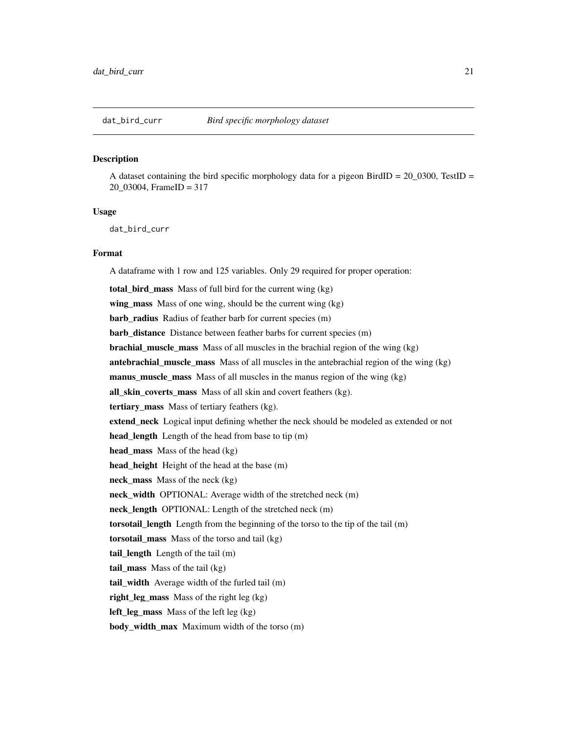#### <span id="page-20-0"></span>**Description**

A dataset containing the bird specific morphology data for a pigeon BirdID =  $20\text{_}0300$ , TestID = 20\_03004, FrameID = 317

#### Usage

dat\_bird\_curr

#### Format

A dataframe with 1 row and 125 variables. Only 29 required for proper operation: total\_bird\_mass Mass of full bird for the current wing (kg) wing\_mass Mass of one wing, should be the current wing (kg) barb\_radius Radius of feather barb for current species (m) barb\_distance Distance between feather barbs for current species (m) brachial\_muscle\_mass Mass of all muscles in the brachial region of the wing (kg) antebrachial\_muscle\_mass Mass of all muscles in the antebrachial region of the wing (kg) manus\_muscle\_mass Mass of all muscles in the manus region of the wing (kg) all\_skin\_coverts\_mass Mass of all skin and covert feathers (kg). tertiary\_mass Mass of tertiary feathers (kg). extend\_neck Logical input defining whether the neck should be modeled as extended or not head\_length Length of the head from base to tip (m) head\_mass Mass of the head (kg) head\_height Height of the head at the base (m) neck\_mass Mass of the neck (kg) neck width OPTIONAL: Average width of the stretched neck (m) neck\_length OPTIONAL: Length of the stretched neck (m) torsotail\_length Length from the beginning of the torso to the tip of the tail (m) torsotail\_mass Mass of the torso and tail (kg) tail\_length Length of the tail (m) tail\_mass Mass of the tail (kg) tail\_width Average width of the furled tail (m) right leg mass Mass of the right leg  $(kg)$ left leg mass Mass of the left leg  $(kg)$ body\_width\_max Maximum width of the torso (m)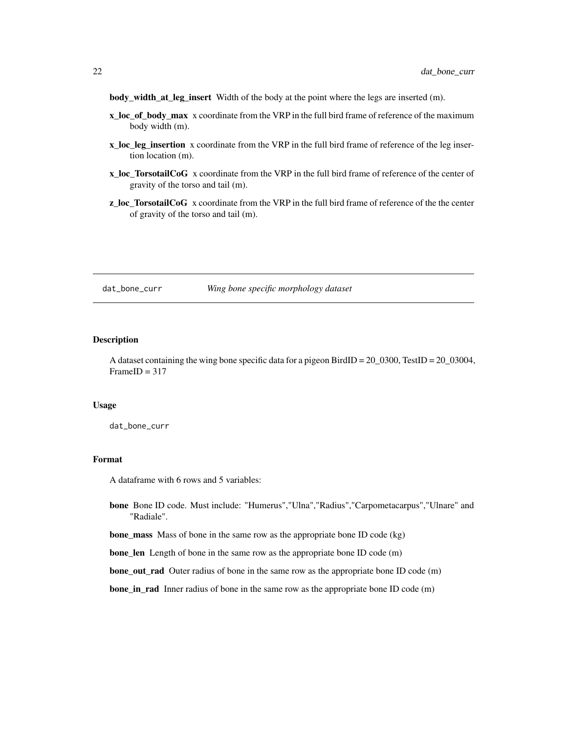<span id="page-21-0"></span>body\_width\_at\_leg\_insert Width of the body at the point where the legs are inserted (m).

- x\_loc\_of\_body\_max x coordinate from the VRP in the full bird frame of reference of the maximum body width (m).
- x\_loc\_leg\_insertion x coordinate from the VRP in the full bird frame of reference of the leg insertion location (m).
- x\_loc\_TorsotailCoG x coordinate from the VRP in the full bird frame of reference of the center of gravity of the torso and tail (m).
- z\_loc\_TorsotailCoG x coordinate from the VRP in the full bird frame of reference of the the center of gravity of the torso and tail (m).

#### dat\_bone\_curr *Wing bone specific morphology dataset*

#### Description

A dataset containing the wing bone specific data for a pigeon BirdID =  $20\text{_}0300$ , TestID =  $20\text{_}03004$ ,  $FrameID = 317$ 

#### Usage

dat\_bone\_curr

#### Format

A dataframe with 6 rows and 5 variables:

bone Bone ID code. Must include: "Humerus","Ulna","Radius","Carpometacarpus","Ulnare" and "Radiale".

**bone\_mass** Mass of bone in the same row as the appropriate bone ID code (kg)

bone\_len Length of bone in the same row as the appropriate bone ID code (m)

**bone\_out\_rad** Outer radius of bone in the same row as the appropriate bone ID code (m)

bone\_in\_rad Inner radius of bone in the same row as the appropriate bone ID code (m)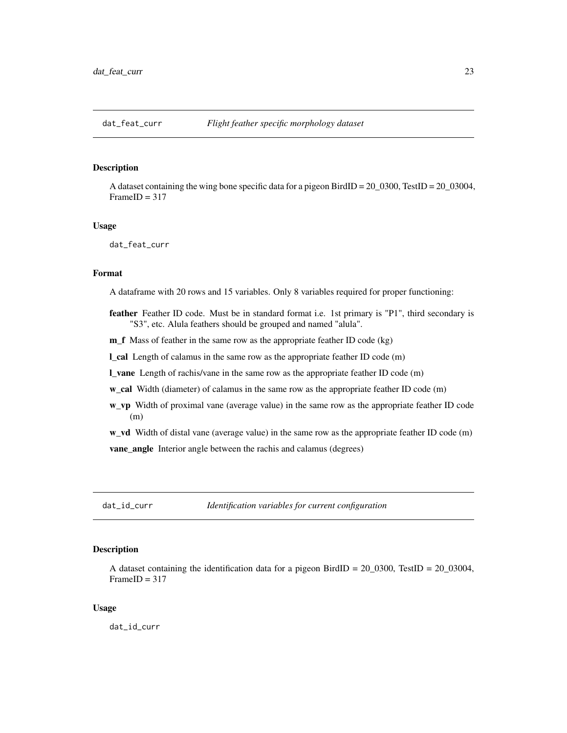## <span id="page-22-0"></span>**Description**

A dataset containing the wing bone specific data for a pigeon BirdID = 20\_0300, TestID = 20\_03004,  $FrameID = 317$ 

#### Usage

dat\_feat\_curr

#### Format

A dataframe with 20 rows and 15 variables. Only 8 variables required for proper functioning:

- feather Feather ID code. Must be in standard format i.e. 1st primary is "P1", third secondary is "S3", etc. Alula feathers should be grouped and named "alula".
- m\_f Mass of feather in the same row as the appropriate feather ID code (kg)

l\_cal Length of calamus in the same row as the appropriate feather ID code (m)

l\_vane Length of rachis/vane in the same row as the appropriate feather ID code (m)

w\_cal Width (diameter) of calamus in the same row as the appropriate feather ID code (m)

w\_vp Width of proximal vane (average value) in the same row as the appropriate feather ID code (m)

w\_vd Width of distal vane (average value) in the same row as the appropriate feather ID code (m) vane angle Interior angle between the rachis and calamus (degrees)

dat\_id\_curr *Identification variables for current configuration*

## **Description**

A dataset containing the identification data for a pigeon BirdID =  $20\text{_\}_0300$ , TestID =  $20\text{_\}_03004$ ,  $FrameID = 317$ 

#### Usage

dat\_id\_curr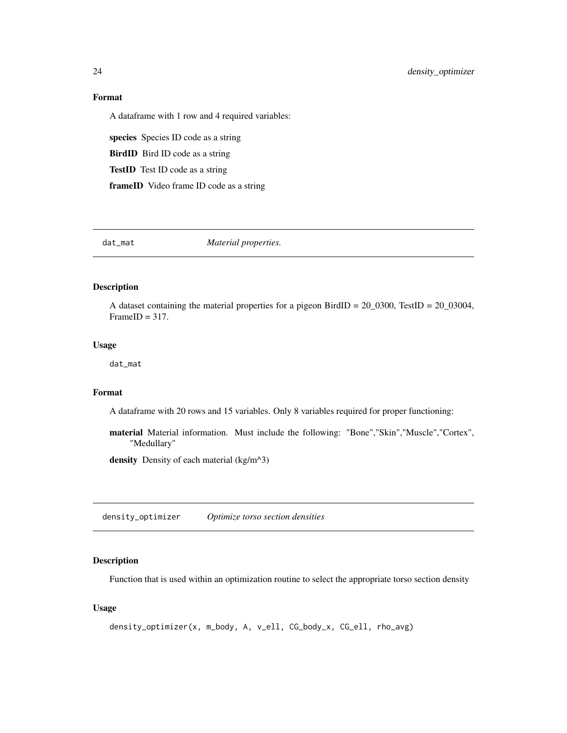## Format

A dataframe with 1 row and 4 required variables:

species Species ID code as a string

BirdID Bird ID code as a string

TestID Test ID code as a string

frameID Video frame ID code as a string

dat\_mat *Material properties.*

## Description

A dataset containing the material properties for a pigeon BirdID = 20\_0300, TestID = 20\_03004,  $FrameID = 317.$ 

## Usage

dat\_mat

## Format

A dataframe with 20 rows and 15 variables. Only 8 variables required for proper functioning:

material Material information. Must include the following: "Bone","Skin","Muscle","Cortex", "Medullary"

density Density of each material (kg/m^3)

density\_optimizer *Optimize torso section densities*

### Description

Function that is used within an optimization routine to select the appropriate torso section density

#### Usage

```
density_optimizer(x, m_body, A, v_ell, CG_body_x, CG_ell, rho_avg)
```
<span id="page-23-0"></span>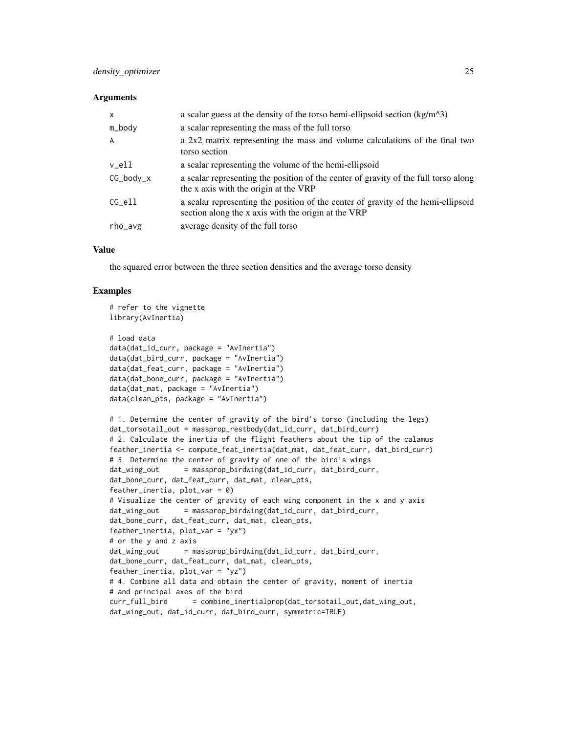#### **Arguments**

| $\mathsf{x}$   | a scalar guess at the density of the torso hemi-ellipsoid section $(kg/m^3)$                                                             |  |
|----------------|------------------------------------------------------------------------------------------------------------------------------------------|--|
| m_body         | a scalar representing the mass of the full torso                                                                                         |  |
| $\overline{A}$ | a 2x2 matrix representing the mass and volume calculations of the final two<br>torso section                                             |  |
| v_ell          | a scalar representing the volume of the hemi-ellipsoid                                                                                   |  |
| $CG\_body_x$   | a scalar representing the position of the center of gravity of the full torso along<br>the x axis with the origin at the VRP             |  |
| CG ell         | a scalar representing the position of the center of gravity of the hemi-ellipsoid<br>section along the x axis with the origin at the VRP |  |
| rho_avg        | average density of the full torso                                                                                                        |  |

## Value

the squared error between the three section densities and the average torso density

```
# refer to the vignette
library(AvInertia)
# load data
data(dat_id_curr, package = "AvInertia")
data(dat_bird_curr, package = "AvInertia")
data(dat_feat_curr, package = "AvInertia")
data(dat_bone_curr, package = "AvInertia")
data(dat_mat, package = "AvInertia")
data(clean_pts, package = "AvInertia")
# 1. Determine the center of gravity of the bird's torso (including the legs)
dat_torsotail_out = massprop_restbody(dat_id_curr, dat_bird_curr)
# 2. Calculate the inertia of the flight feathers about the tip of the calamus
feather_inertia <- compute_feat_inertia(dat_mat, dat_feat_curr, dat_bird_curr)
# 3. Determine the center of gravity of one of the bird's wings
dat_wing_out = massprop_birdwing(dat_id_curr, dat_bird_curr,
dat_bone_curr, dat_feat_curr, dat_mat, clean_pts,
feather_inertia, plot\_var = 0)
# Visualize the center of gravity of each wing component in the x and y axis
dat_wing_out = massprop_birdwing(dat_id_curr, dat_bird_curr,
dat_bone_curr, dat_feat_curr, dat_mat, clean_pts,
feather_inertia, plot_var = "yx")
# or the y and z axis
dat_wing_out = massprop_birdwing(dat_id_curr, dat_bird_curr,
dat_bone_curr, dat_feat_curr, dat_mat, clean_pts,
feather_inertia, plot_var = "yz")
# 4. Combine all data and obtain the center of gravity, moment of inertia
# and principal axes of the bird
curr_full_bird = combine_inertialprop(dat_torsotail_out,dat_wing_out,
dat_wing_out, dat_id_curr, dat_bird_curr, symmetric=TRUE)
```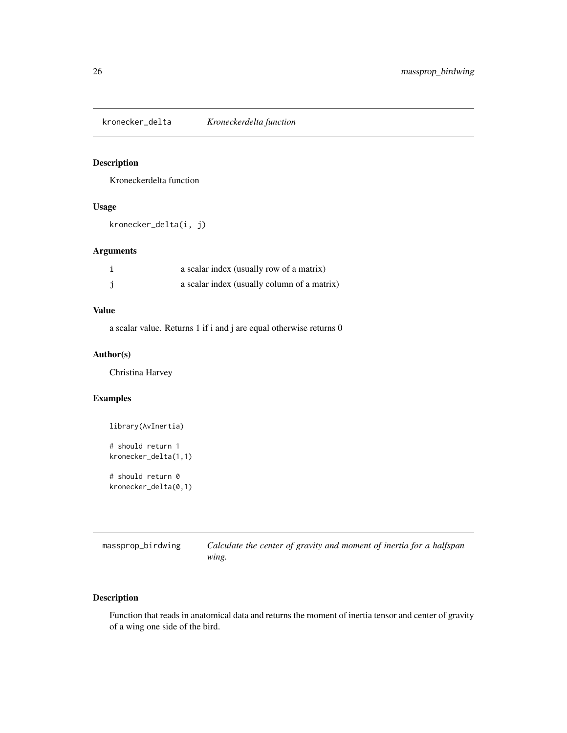<span id="page-25-0"></span>kronecker\_delta *Kroneckerdelta function*

## Description

Kroneckerdelta function

## Usage

kronecker\_delta(i, j)

## Arguments

| a scalar index (usually row of a matrix)    |
|---------------------------------------------|
| a scalar index (usually column of a matrix) |

## Value

a scalar value. Returns 1 if i and j are equal otherwise returns 0

## Author(s)

Christina Harvey

## Examples

```
library(AvInertia)
# should return 1
kronecker_delta(1,1)
# should return 0
kronecker_delta(0,1)
```

| massprop_birdwing | Calculate the center of gravity and moment of inertia for a halfspan |
|-------------------|----------------------------------------------------------------------|
|                   | wing.                                                                |

## Description

Function that reads in anatomical data and returns the moment of inertia tensor and center of gravity of a wing one side of the bird.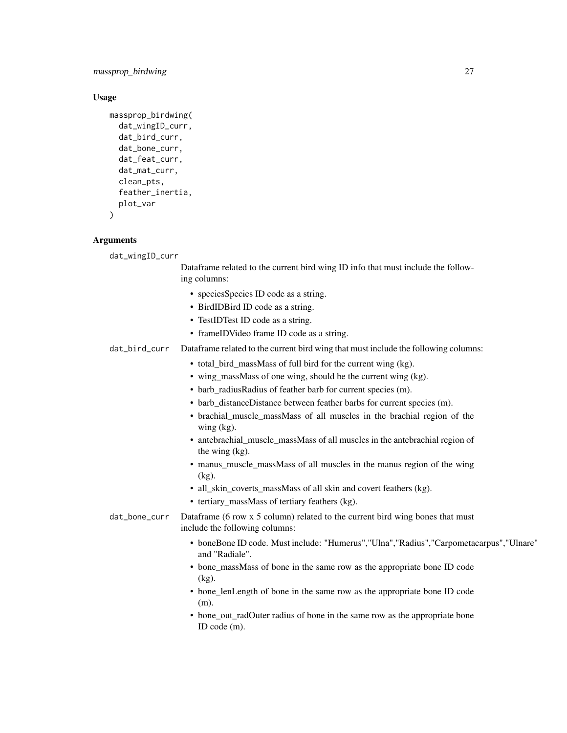massprop\_birdwing 27

#### Usage

```
massprop_birdwing(
  dat_wingID_curr,
  dat_bird_curr,
  dat_bone_curr,
  dat_feat_curr,
  dat_mat_curr,
  clean_pts,
  feather_inertia,
  plot_var
)
```
#### **Arguments**

dat\_wingID\_curr

Dataframe related to the current bird wing ID info that must include the following columns:

- speciesSpecies ID code as a string.
- BirdIDBird ID code as a string.
- TestIDTest ID code as a string.
- frameIDVideo frame ID code as a string.

dat\_bird\_curr Dataframe related to the current bird wing that must include the following columns:

- total bird massMass of full bird for the current wing (kg).
- wing\_massMass of one wing, should be the current wing (kg).
- barb\_radiusRadius of feather barb for current species (m).
- barb\_distanceDistance between feather barbs for current species (m).
- brachial\_muscle\_massMass of all muscles in the brachial region of the wing (kg).
- antebrachial muscle massMass of all muscles in the antebrachial region of the wing (kg).
- manus muscle massMass of all muscles in the manus region of the wing (kg).
- all\_skin\_coverts\_massMass of all skin and covert feathers (kg).
- tertiary\_massMass of tertiary feathers (kg).
- dat\_bone\_curr Dataframe (6 row x 5 column) related to the current bird wing bones that must include the following columns:
	- boneBone ID code. Must include: "Humerus","Ulna","Radius","Carpometacarpus","Ulnare" and "Radiale".
	- bone massMass of bone in the same row as the appropriate bone ID code (kg).
	- bone\_lenLength of bone in the same row as the appropriate bone ID code (m).
	- bone\_out\_radOuter radius of bone in the same row as the appropriate bone ID code (m).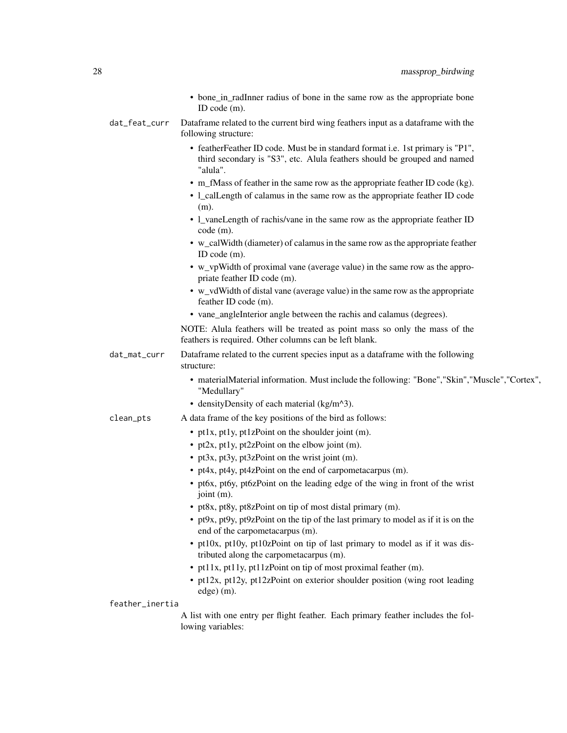|                 | • bone_in_radInner radius of bone in the same row as the appropriate bone<br>ID code (m).                                                                               |
|-----------------|-------------------------------------------------------------------------------------------------------------------------------------------------------------------------|
| dat_feat_curr   | Dataframe related to the current bird wing feathers input as a dataframe with the<br>following structure:                                                               |
|                 | • featherFeather ID code. Must be in standard format i.e. 1st primary is "P1",<br>third secondary is "S3", etc. Alula feathers should be grouped and named<br>"alula".  |
|                 | • m_fMass of feather in the same row as the appropriate feather ID code (kg).<br>• 1_calLength of calamus in the same row as the appropriate feather ID code<br>$(m)$ . |
|                 | • 1_vaneLength of rachis/vane in the same row as the appropriate feather ID<br>code (m).                                                                                |
|                 | • w_calWidth (diameter) of calamus in the same row as the appropriate feather<br>ID code (m).                                                                           |
|                 | • w_vpWidth of proximal vane (average value) in the same row as the appro-<br>priate feather ID code (m).                                                               |
|                 | • w_vdWidth of distal vane (average value) in the same row as the appropriate<br>feather ID code (m).                                                                   |
|                 | • vane_angleInterior angle between the rachis and calamus (degrees).                                                                                                    |
|                 | NOTE: Alula feathers will be treated as point mass so only the mass of the<br>feathers is required. Other columns can be left blank.                                    |
| dat_mat_curr    | Dataframe related to the current species input as a dataframe with the following<br>structure:                                                                          |
|                 | • materialMaterial information. Must include the following: "Bone", "Skin", "Muscle", "Cortex",<br>"Medullary"                                                          |
|                 | • density Density of each material $(kg/m^2)$ .                                                                                                                         |
| clean_pts       | A data frame of the key positions of the bird as follows:                                                                                                               |
|                 | • pt1x, pt1y, pt1zPoint on the shoulder joint (m).                                                                                                                      |
|                 | • pt2x, pt1y, pt2zPoint on the elbow joint (m).                                                                                                                         |
|                 | • pt3x, pt3y, pt3zPoint on the wrist joint (m).                                                                                                                         |
|                 | • pt4x, pt4y, pt4zPoint on the end of carpometacarpus (m).                                                                                                              |
|                 | • pt6x, pt6y, pt6zPoint on the leading edge of the wing in front of the wrist<br>joint $(m)$ .                                                                          |
|                 | • pt8x, pt8y, pt8zPoint on tip of most distal primary (m).                                                                                                              |
|                 | • pt9x, pt9y, pt9zPoint on the tip of the last primary to model as if it is on the<br>end of the carpometacarpus (m).                                                   |
|                 | • pt10x, pt10y, pt10zPoint on tip of last primary to model as if it was dis-<br>tributed along the carpometacarpus (m).                                                 |
|                 | • pt11x, pt11y, pt11zPoint on tip of most proximal feather (m).                                                                                                         |
|                 | • pt12x, pt12y, pt12zPoint on exterior shoulder position (wing root leading<br>edge) (m).                                                                               |
| feather_inertia |                                                                                                                                                                         |
|                 | A list with one entry per flight feather. Each primary feather includes the fol-<br>lowing variables:                                                                   |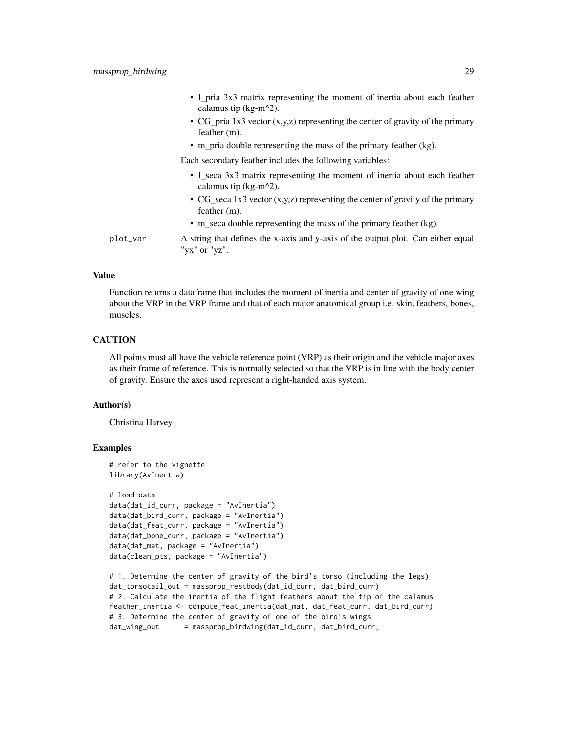- I\_pria 3x3 matrix representing the moment of inertia about each feather calamus tip ( $kg-m^2$ ).
- CG\_pria 1x3 vector (x,y,z) representing the center of gravity of the primary feather (m).
- m\_pria double representing the mass of the primary feather (kg).

Each secondary feather includes the following variables:

- I seca 3x3 matrix representing the moment of inertia about each feather calamus tip (kg-m $^2$ ).
- CG seca 1x3 vector  $(x,y,z)$  representing the center of gravity of the primary feather (m).
- m\_seca double representing the mass of the primary feather (kg).
- plot\_var A string that defines the x-axis and y-axis of the output plot. Can either equal "yx" or "yz".

#### Value

Function returns a dataframe that includes the moment of inertia and center of gravity of one wing about the VRP in the VRP frame and that of each major anatomical group i.e. skin, feathers, bones, muscles.

#### **CAUTION**

All points must all have the vehicle reference point (VRP) as their origin and the vehicle major axes as their frame of reference. This is normally selected so that the VRP is in line with the body center of gravity. Ensure the axes used represent a right-handed axis system.

#### Author(s)

Christina Harvey

```
# refer to the vignette
library(AvInertia)
# load data
data(dat_id_curr, package = "AvInertia")
data(dat_bird_curr, package = "AvInertia")
data(dat_feat_curr, package = "AvInertia")
data(dat_bone_curr, package = "AvInertia")
data(dat_mat, package = "AvInertia")
data(clean_pts, package = "AvInertia")
# 1. Determine the center of gravity of the bird's torso (including the legs)
```

```
dat_torsotail_out = massprop_restbody(dat_id_curr, dat_bird_curr)
# 2. Calculate the inertia of the flight feathers about the tip of the calamus
feather_inertia <- compute_feat_inertia(dat_mat, dat_feat_curr, dat_bird_curr)
# 3. Determine the center of gravity of one of the bird's wings
dat_wing_out = massprop_birdwing(dat_id_curr, dat_bird_curr,
```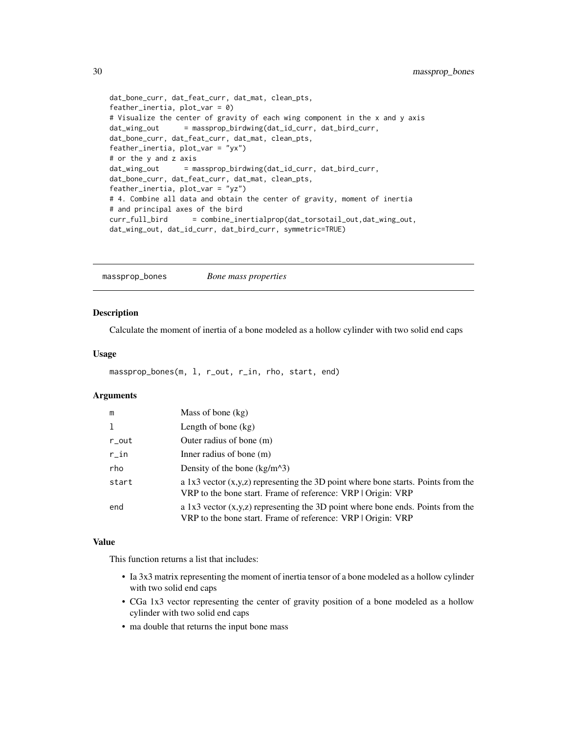```
dat_bone_curr, dat_feat_curr, dat_mat, clean_pts,
feather_inertia, plot_var = 0)
# Visualize the center of gravity of each wing component in the x and y axis
dat_wing_out = massprop_birdwing(dat_id_curr, dat_bird_curr,
dat_bone_curr, dat_feat_curr, dat_mat, clean_pts,
feather_inertia, plot_var = "yx")
# or the y and z axis
dat_wing_out = massprop_birdwing(dat_id_curr, dat_bird_curr,
dat_bone_curr, dat_feat_curr, dat_mat, clean_pts,
feather_inertia, plot_var = "yz")
# 4. Combine all data and obtain the center of gravity, moment of inertia
# and principal axes of the bird
curr_full_bird = combine_inertialprop(dat_torsotail_out,dat_wing_out,
dat_wing_out, dat_id_curr, dat_bird_curr, symmetric=TRUE)
```
massprop\_bones *Bone mass properties*

#### Description

Calculate the moment of inertia of a bone modeled as a hollow cylinder with two solid end caps

#### Usage

```
massprop_bones(m, l, r_out, r_in, rho, start, end)
```
#### Arguments

| m            | Mass of bone $(kg)$                                                                                                                                 |  |
|--------------|-----------------------------------------------------------------------------------------------------------------------------------------------------|--|
| $\mathbf{1}$ | Length of bone $(kg)$                                                                                                                               |  |
| r_out        | Outer radius of bone (m)                                                                                                                            |  |
| $r_in$       | Inner radius of bone $(m)$                                                                                                                          |  |
| rho          | Density of the bone $(kg/m^3)$                                                                                                                      |  |
| start        | a 1x3 vector $(x,y,z)$ representing the 3D point where bone starts. Points from the<br>VRP to the bone start. Frame of reference: VRP   Origin: VRP |  |
| end          | a 1x3 vector $(x,y,z)$ representing the 3D point where bone ends. Points from the<br>VRP to the bone start. Frame of reference: VRP   Origin: VRP   |  |

## Value

This function returns a list that includes:

- Ia 3x3 matrix representing the moment of inertia tensor of a bone modeled as a hollow cylinder with two solid end caps
- CGa 1x3 vector representing the center of gravity position of a bone modeled as a hollow cylinder with two solid end caps
- ma double that returns the input bone mass

<span id="page-29-0"></span>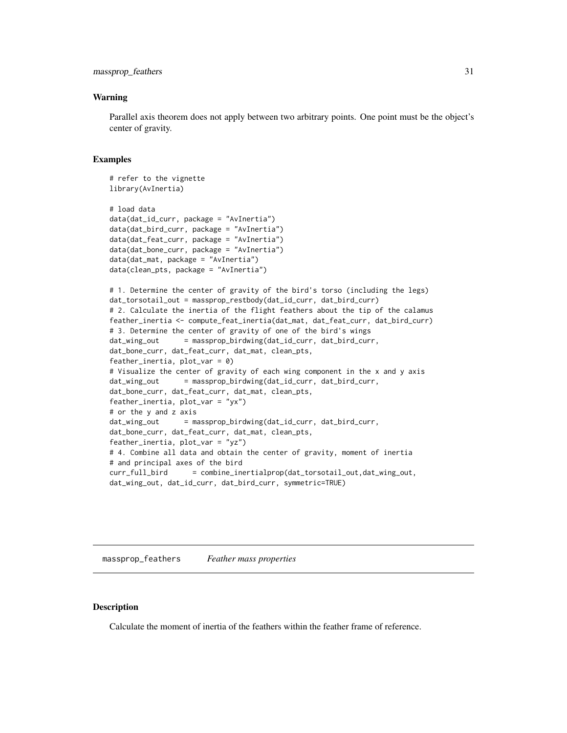#### <span id="page-30-0"></span>Warning

Parallel axis theorem does not apply between two arbitrary points. One point must be the object's center of gravity.

#### Examples

```
# refer to the vignette
library(AvInertia)
# load data
data(dat_id_curr, package = "AvInertia")
data(dat_bird_curr, package = "AvInertia")
data(dat_feat_curr, package = "AvInertia")
data(dat_bone_curr, package = "AvInertia")
data(dat_mat, package = "AvInertia")
data(clean_pts, package = "AvInertia")
# 1. Determine the center of gravity of the bird's torso (including the legs)
dat_torsotail_out = massprop_restbody(dat_id_curr, dat_bird_curr)
# 2. Calculate the inertia of the flight feathers about the tip of the calamus
feather_inertia <- compute_feat_inertia(dat_mat, dat_feat_curr, dat_bird_curr)
# 3. Determine the center of gravity of one of the bird's wings
dat_wing_out = massprop_birdwing(dat_id_curr, dat_bird_curr,
dat_bone_curr, dat_feat_curr, dat_mat, clean_pts,
feather_inertia, plot_var = 0)
# Visualize the center of gravity of each wing component in the x and y axis
dat_wing_out = massprop_birdwing(dat_id_curr, dat_bird_curr,
dat_bone_curr, dat_feat_curr, dat_mat, clean_pts,
feather_inertia, plot_var = "yx")
# or the y and z axis
dat_wing_out = massprop_birdwing(dat_id_curr, dat_bird_curr,
dat_bone_curr, dat_feat_curr, dat_mat, clean_pts,
feather_inertia, plot_var = "yz")
# 4. Combine all data and obtain the center of gravity, moment of inertia
# and principal axes of the bird
curr_full_bird = combine_inertialprop(dat_torsotail_out,dat_wing_out,
dat_wing_out, dat_id_curr, dat_bird_curr, symmetric=TRUE)
```
massprop\_feathers *Feather mass properties*

#### Description

Calculate the moment of inertia of the feathers within the feather frame of reference.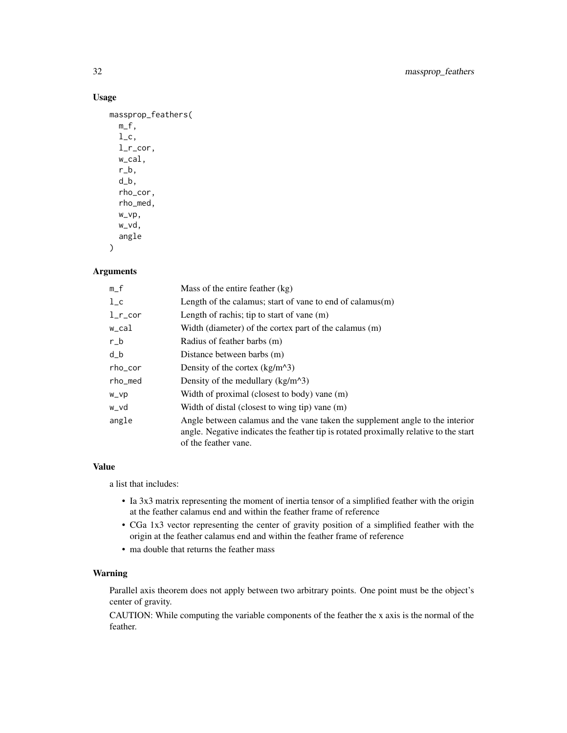## Usage

```
massprop_feathers(
 m_f,
  l_c,
  l_r_cor,
  w_cal,
  r_b,
  d_b,
  rho_cor,
  rho_med,
  w_vp,
  w_vd,
  angle
)
```
## Arguments

| $m_f$        | Mass of the entire feather (kg)                                                                                                                                                                |  |
|--------------|------------------------------------------------------------------------------------------------------------------------------------------------------------------------------------------------|--|
| $1_{\rm -c}$ | Length of the calamus; start of vane to end of calamus $(m)$                                                                                                                                   |  |
| $l$ _r_cor   | Length of rachis; tip to start of vane $(m)$                                                                                                                                                   |  |
| w_cal        | Width (diameter) of the cortex part of the calamus (m)                                                                                                                                         |  |
| $r_b$        | Radius of feather barbs (m)                                                                                                                                                                    |  |
| $d_b$        | Distance between barbs (m)                                                                                                                                                                     |  |
| rho_cor      | Density of the cortex $(kg/m^3)$                                                                                                                                                               |  |
| rho_med      | Density of the medullary $(kg/m^3)$                                                                                                                                                            |  |
| w_vp         | Width of proximal (closest to body) vane (m)                                                                                                                                                   |  |
| w_vd         | Width of distal (closest to wing tip) vane (m)                                                                                                                                                 |  |
| angle        | Angle between calamus and the vane taken the supplement angle to the interior<br>angle. Negative indicates the feather tip is rotated proximally relative to the start<br>of the feather vane. |  |

#### Value

a list that includes:

- Ia 3x3 matrix representing the moment of inertia tensor of a simplified feather with the origin at the feather calamus end and within the feather frame of reference
- CGa 1x3 vector representing the center of gravity position of a simplified feather with the origin at the feather calamus end and within the feather frame of reference
- ma double that returns the feather mass

## Warning

Parallel axis theorem does not apply between two arbitrary points. One point must be the object's center of gravity.

CAUTION: While computing the variable components of the feather the x axis is the normal of the feather.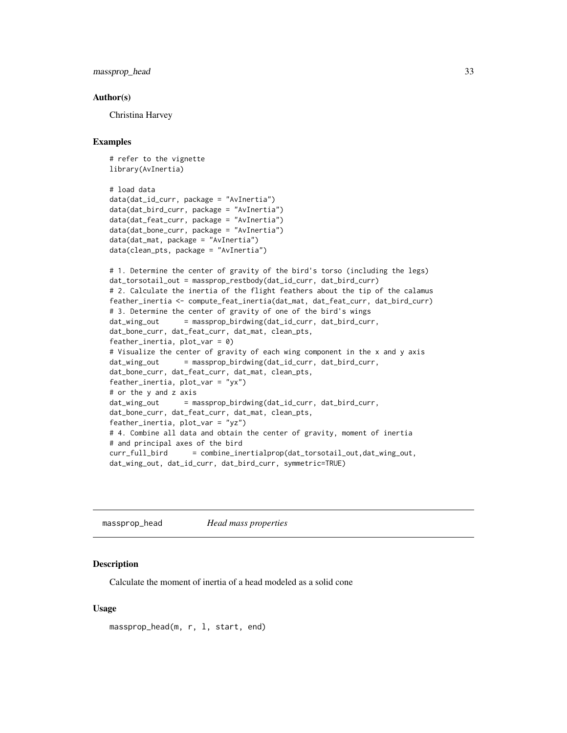<span id="page-32-0"></span>massprop\_head 33

#### Author(s)

Christina Harvey

#### Examples

```
# refer to the vignette
library(AvInertia)
# load data
data(dat_id_curr, package = "AvInertia")
data(dat_bird_curr, package = "AvInertia")
data(dat_feat_curr, package = "AvInertia")
data(dat_bone_curr, package = "AvInertia")
data(dat_mat, package = "AvInertia")
data(clean_pts, package = "AvInertia")
# 1. Determine the center of gravity of the bird's torso (including the legs)
dat_torsotail_out = massprop_restbody(dat_id_curr, dat_bird_curr)
# 2. Calculate the inertia of the flight feathers about the tip of the calamus
feather_inertia <- compute_feat_inertia(dat_mat, dat_feat_curr, dat_bird_curr)
# 3. Determine the center of gravity of one of the bird's wings
dat_wing_out = massprop_birdwing(dat_id_curr, dat_bird_curr,
dat_bone_curr, dat_feat_curr, dat_mat, clean_pts,
feather_inertia, plot_var = 0)
# Visualize the center of gravity of each wing component in the x and y axis
dat_wing_out = massprop_birdwing(dat_id_curr, dat_bird_curr,
dat_bone_curr, dat_feat_curr, dat_mat, clean_pts,
feather_inertia, plot_var = "yx")
# or the y and z axis
dat_wing_out = massprop_birdwing(dat_id_curr, dat_bird_curr,
dat_bone_curr, dat_feat_curr, dat_mat, clean_pts,
feather_inertia, plot_var = "yz")
# 4. Combine all data and obtain the center of gravity, moment of inertia
# and principal axes of the bird
curr_full_bird = combine_inertialprop(dat_torsotail_out,dat_wing_out,
dat_wing_out, dat_id_curr, dat_bird_curr, symmetric=TRUE)
```
massprop\_head *Head mass properties*

#### **Description**

Calculate the moment of inertia of a head modeled as a solid cone

## Usage

```
massprop_head(m, r, l, start, end)
```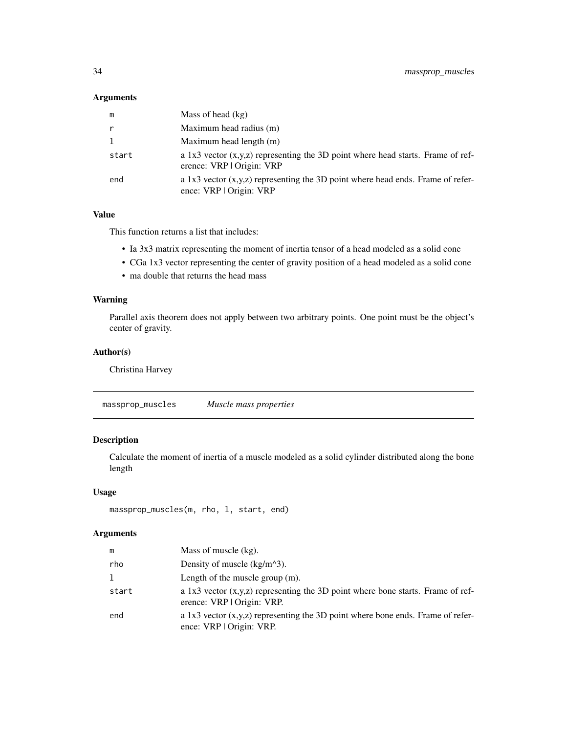### <span id="page-33-0"></span>Arguments

| m     | Mass of head (kg)                                                                                              |
|-------|----------------------------------------------------------------------------------------------------------------|
| r     | Maximum head radius (m)                                                                                        |
| 1     | Maximum head length (m)                                                                                        |
| start | a 1x3 vector $(x,y,z)$ representing the 3D point where head starts. Frame of ref-<br>erence: VRP   Origin: VRP |
| end   | a 1x3 vector $(x,y,z)$ representing the 3D point where head ends. Frame of refer-<br>ence: VRP   Origin: VRP   |

## Value

This function returns a list that includes:

- Ia 3x3 matrix representing the moment of inertia tensor of a head modeled as a solid cone
- CGa 1x3 vector representing the center of gravity position of a head modeled as a solid cone
- ma double that returns the head mass

## Warning

Parallel axis theorem does not apply between two arbitrary points. One point must be the object's center of gravity.

## Author(s)

Christina Harvey

| massprop_muscles | Muscle mass properties |  |
|------------------|------------------------|--|
|------------------|------------------------|--|

## Description

Calculate the moment of inertia of a muscle modeled as a solid cylinder distributed along the bone length

#### Usage

```
massprop_muscles(m, rho, l, start, end)
```
## Arguments

| m     | Mass of muscle $(kg)$ .                                                                                         |
|-------|-----------------------------------------------------------------------------------------------------------------|
| rho   | Density of muscle $(kg/m^3)$ .                                                                                  |
| 1     | Length of the muscle group $(m)$ .                                                                              |
| start | a 1x3 vector $(x,y,z)$ representing the 3D point where bone starts. Frame of ref-<br>erence: VRP   Origin: VRP. |
| end   | a 1x3 vector $(x,y,z)$ representing the 3D point where bone ends. Frame of refer-<br>ence: VRP   Origin: VRP.   |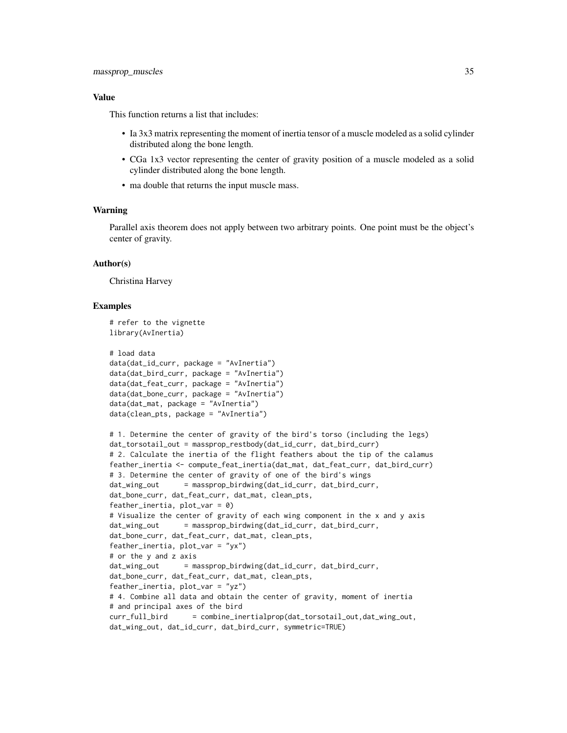#### Value

This function returns a list that includes:

- Ia 3x3 matrix representing the moment of inertia tensor of a muscle modeled as a solid cylinder distributed along the bone length.
- CGa 1x3 vector representing the center of gravity position of a muscle modeled as a solid cylinder distributed along the bone length.
- ma double that returns the input muscle mass.

#### Warning

Parallel axis theorem does not apply between two arbitrary points. One point must be the object's center of gravity.

#### Author(s)

Christina Harvey

# refer to the vignette

```
library(AvInertia)
# load data
data(dat_id_curr, package = "AvInertia")
data(dat_bird_curr, package = "AvInertia")
data(dat_feat_curr, package = "AvInertia")
data(dat_bone_curr, package = "AvInertia")
data(dat_mat, package = "AvInertia")
data(clean_pts, package = "AvInertia")
# 1. Determine the center of gravity of the bird's torso (including the legs)
dat_torsotail_out = massprop_restbody(dat_id_curr, dat_bird_curr)
# 2. Calculate the inertia of the flight feathers about the tip of the calamus
feather_inertia <- compute_feat_inertia(dat_mat, dat_feat_curr, dat_bird_curr)
# 3. Determine the center of gravity of one of the bird's wings
dat_wing_out = massprop_birdwing(dat_id_curr, dat_bird_curr,
dat_bone_curr, dat_feat_curr, dat_mat, clean_pts,
feather_inertia, plot_var = 0)
# Visualize the center of gravity of each wing component in the x and y axis
dat_wing_out = massprop_birdwing(dat_id_curr, dat_bird_curr,
dat_bone_curr, dat_feat_curr, dat_mat, clean_pts,
feather_inertia, plot_var = "yx")
# or the y and z axis
dat_wing_out = massprop_birdwing(dat_id_curr, dat_bird_curr,
dat_bone_curr, dat_feat_curr, dat_mat, clean_pts,
feather_inertia, plot_var = "yz")
# 4. Combine all data and obtain the center of gravity, moment of inertia
# and principal axes of the bird
curr_full_bird = combine_inertialprop(dat_torsotail_out,dat_wing_out,
dat_wing_out, dat_id_curr, dat_bird_curr, symmetric=TRUE)
```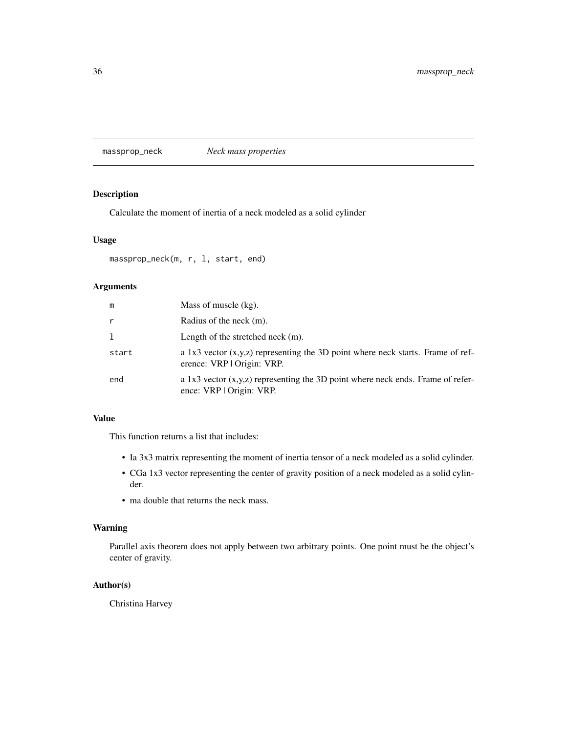<span id="page-35-0"></span>massprop\_neck *Neck mass properties*

## Description

Calculate the moment of inertia of a neck modeled as a solid cylinder

## Usage

massprop\_neck(m, r, l, start, end)

## Arguments

| m     | Mass of muscle (kg).                                                                                            |
|-------|-----------------------------------------------------------------------------------------------------------------|
| r     | Radius of the neck (m).                                                                                         |
| 1     | Length of the stretched neck $(m)$ .                                                                            |
| start | a 1x3 vector $(x,y,z)$ representing the 3D point where neck starts. Frame of ref-<br>erence: VRP   Origin: VRP. |
| end   | a 1x3 vector $(x,y,z)$ representing the 3D point where neck ends. Frame of refer-<br>ence: VRP   Origin: VRP.   |

## Value

This function returns a list that includes:

- Ia 3x3 matrix representing the moment of inertia tensor of a neck modeled as a solid cylinder.
- CGa 1x3 vector representing the center of gravity position of a neck modeled as a solid cylinder.
- ma double that returns the neck mass.

## Warning

Parallel axis theorem does not apply between two arbitrary points. One point must be the object's center of gravity.

## Author(s)

Christina Harvey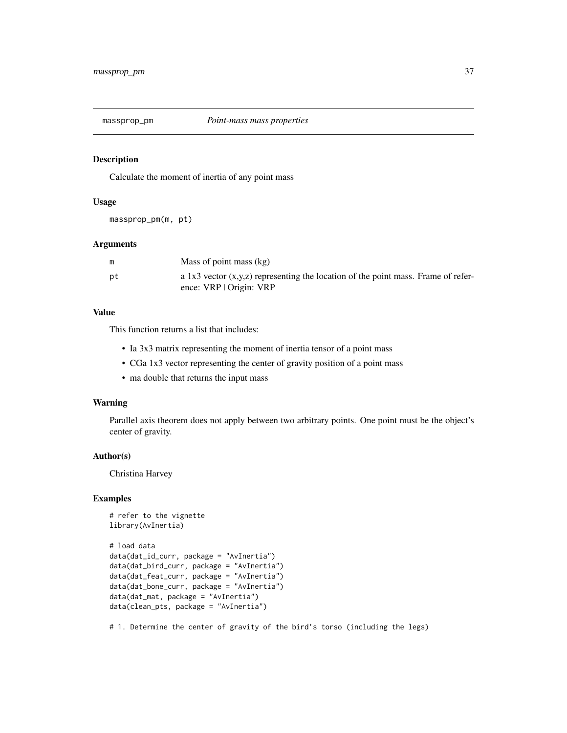<span id="page-36-0"></span>

## Description

Calculate the moment of inertia of any point mass

#### Usage

massprop\_pm(m, pt)

## Arguments

|    | Mass of point mass $(kg)$                                                           |
|----|-------------------------------------------------------------------------------------|
| рt | a 1x3 vector $(x,y,z)$ representing the location of the point mass. Frame of refer- |
|    | ence: VRP   Origin: VRP                                                             |

## Value

This function returns a list that includes:

- Ia 3x3 matrix representing the moment of inertia tensor of a point mass
- CGa 1x3 vector representing the center of gravity position of a point mass
- ma double that returns the input mass

#### Warning

Parallel axis theorem does not apply between two arbitrary points. One point must be the object's center of gravity.

#### Author(s)

Christina Harvey

## Examples

```
# refer to the vignette
library(AvInertia)
```

```
# load data
data(dat_id_curr, package = "AvInertia")
data(dat_bird_curr, package = "AvInertia")
data(dat_feat_curr, package = "AvInertia")
data(dat_bone_curr, package = "AvInertia")
data(dat_mat, package = "AvInertia")
data(clean_pts, package = "AvInertia")
```
# 1. Determine the center of gravity of the bird's torso (including the legs)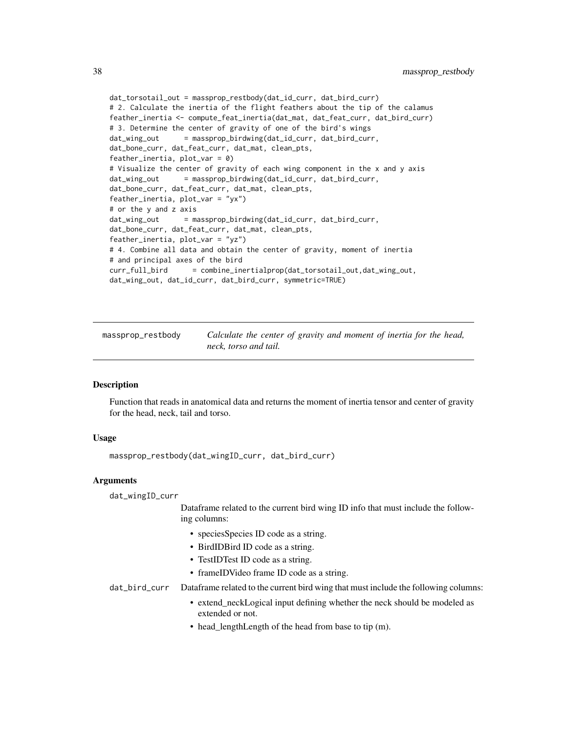```
dat_torsotail_out = massprop_restbody(dat_id_curr, dat_bird_curr)
# 2. Calculate the inertia of the flight feathers about the tip of the calamus
feather_inertia <- compute_feat_inertia(dat_mat, dat_feat_curr, dat_bird_curr)
# 3. Determine the center of gravity of one of the bird's wings
dat_wing_out = massprop_birdwing(dat_id_curr, dat_bird_curr,
dat_bone_curr, dat_feat_curr, dat_mat, clean_pts,
feather_inertia, plot_var = 0)
# Visualize the center of gravity of each wing component in the x and y axis
dat_wing_out = massprop_birdwing(dat_id_curr, dat_bird_curr,
dat_bone_curr, dat_feat_curr, dat_mat, clean_pts,
feather_inertia, plot_var = "yx")
# or the y and z axis
dat_wing_out = massprop_birdwing(dat_id_curr, dat_bird_curr,
dat_bone_curr, dat_feat_curr, dat_mat, clean_pts,
feather_inertia, plot_var = "yz")
# 4. Combine all data and obtain the center of gravity, moment of inertia
# and principal axes of the bird
curr_full_bird = combine_inertialprop(dat_torsotail_out,dat_wing_out,
dat_wing_out, dat_id_curr, dat_bird_curr, symmetric=TRUE)
```
massprop\_restbody *Calculate the center of gravity and moment of inertia for the head, neck, torso and tail.*

#### Description

Function that reads in anatomical data and returns the moment of inertia tensor and center of gravity for the head, neck, tail and torso.

## Usage

massprop\_restbody(dat\_wingID\_curr, dat\_bird\_curr)

#### Arguments

dat\_wingID\_curr

Dataframe related to the current bird wing ID info that must include the following columns:

- speciesSpecies ID code as a string.
- BirdIDBird ID code as a string.
- TestIDTest ID code as a string.
- frameIDVideo frame ID code as a string.

dat\_bird\_curr Dataframe related to the current bird wing that must include the following columns:

- extend\_neckLogical input defining whether the neck should be modeled as extended or not.
- head\_lengthLength of the head from base to tip (m).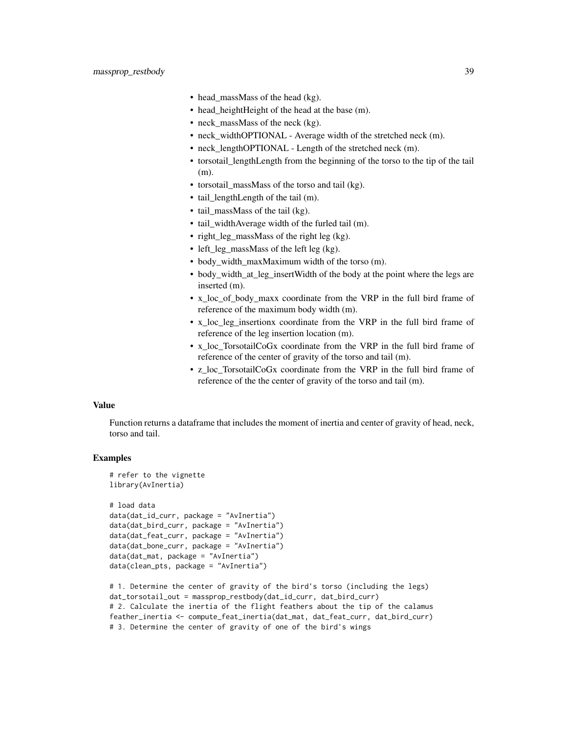- head\_massMass of the head (kg).
- head heightHeight of the head at the base (m).
- neck\_massMass of the neck (kg).
- neck\_widthOPTIONAL Average width of the stretched neck (m).
- neck\_lengthOPTIONAL Length of the stretched neck (m).
- torsotail\_lengthLength from the beginning of the torso to the tip of the tail (m).
- torsotail massMass of the torso and tail (kg).
- tail lengthLength of the tail (m).
- tail\_massMass of the tail (kg).
- tail\_widthAverage width of the furled tail (m).
- right\_leg\_massMass of the right leg (kg).
- left\_leg\_massMass of the left leg (kg).
- body width maxMaximum width of the torso (m).
- body\_width\_at\_leg\_insertWidth of the body at the point where the legs are inserted (m).
- x loc of body maxx coordinate from the VRP in the full bird frame of reference of the maximum body width (m).
- x loc leg insertionx coordinate from the VRP in the full bird frame of reference of the leg insertion location (m).
- x\_loc\_TorsotailCoGx coordinate from the VRP in the full bird frame of reference of the center of gravity of the torso and tail (m).
- z\_loc\_TorsotailCoGx coordinate from the VRP in the full bird frame of reference of the the center of gravity of the torso and tail (m).

#### Value

Function returns a dataframe that includes the moment of inertia and center of gravity of head, neck, torso and tail.

```
# refer to the vignette
library(AvInertia)
# load data
data(dat_id_curr, package = "AvInertia")
data(dat_bird_curr, package = "AvInertia")
data(dat_feat_curr, package = "AvInertia")
data(dat_bone_curr, package = "AvInertia")
data(dat_mat, package = "AvInertia")
data(clean_pts, package = "AvInertia")
```

```
# 1. Determine the center of gravity of the bird's torso (including the legs)
dat_torsotail_out = massprop_restbody(dat_id_curr, dat_bird_curr)
# 2. Calculate the inertia of the flight feathers about the tip of the calamus
feather_inertia <- compute_feat_inertia(dat_mat, dat_feat_curr, dat_bird_curr)
# 3. Determine the center of gravity of one of the bird's wings
```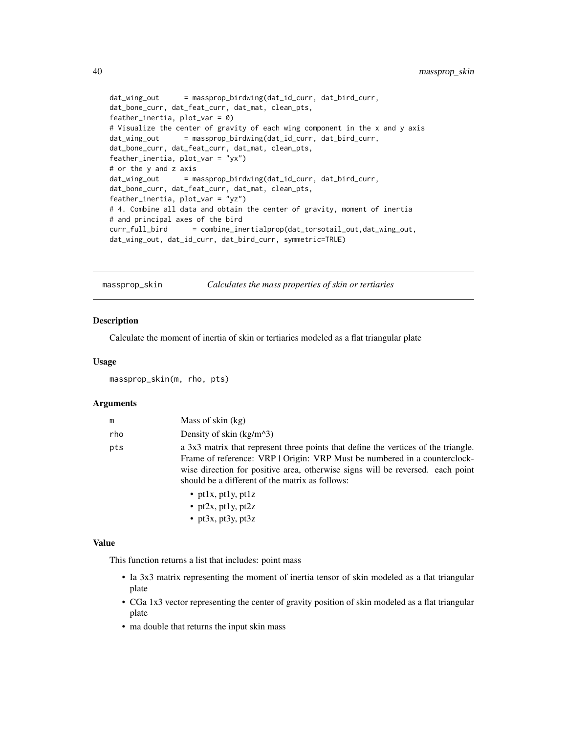```
dat_wing_out = massprop_birdwing(dat_id_curr, dat_bird_curr,
dat_bone_curr, dat_feat_curr, dat_mat, clean_pts,
feather_inertia, plot_var = 0)
# Visualize the center of gravity of each wing component in the x and y axis
dat_wing_out = massprop_birdwing(dat_id_curr, dat_bird_curr,
dat_bone_curr, dat_feat_curr, dat_mat, clean_pts,
feather_inertia, plot_var = "yx")
# or the y and z axis
dat_wing_out = massprop_birdwing(dat_id_curr, dat_bird_curr,
dat_bone_curr, dat_feat_curr, dat_mat, clean_pts,
feather_inertia, plot_var = "yz")
# 4. Combine all data and obtain the center of gravity, moment of inertia
# and principal axes of the bird
curr_full_bird = combine_inertialprop(dat_torsotail_out,dat_wing_out,
dat_wing_out, dat_id_curr, dat_bird_curr, symmetric=TRUE)
```
massprop\_skin *Calculates the mass properties of skin or tertiaries*

## Description

Calculate the moment of inertia of skin or tertiaries modeled as a flat triangular plate

#### Usage

```
massprop_skin(m, rho, pts)
```
#### Arguments

| m   | Mass of skin (kg)                                                                                                                                                                                                                                                                                    |
|-----|------------------------------------------------------------------------------------------------------------------------------------------------------------------------------------------------------------------------------------------------------------------------------------------------------|
| rho | Density of skin $(kg/m^3)$                                                                                                                                                                                                                                                                           |
| pts | a 3x3 matrix that represent three points that define the vertices of the triangle.<br>Frame of reference: VRP   Origin: VRP Must be numbered in a counterclock-<br>wise direction for positive area, otherwise signs will be reversed. each point<br>should be a different of the matrix as follows: |
|     | • ptlx, ptly, ptlz<br>• pt2x, pt1y, pt2z<br>• pt3x, pt3y, pt3z                                                                                                                                                                                                                                       |

#### Value

This function returns a list that includes: point mass

- Ia 3x3 matrix representing the moment of inertia tensor of skin modeled as a flat triangular plate
- CGa 1x3 vector representing the center of gravity position of skin modeled as a flat triangular plate
- ma double that returns the input skin mass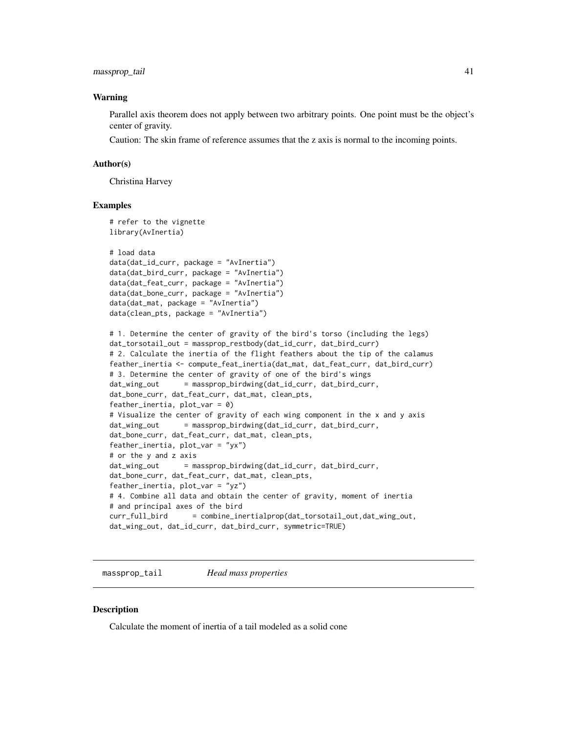## <span id="page-40-0"></span>massprop\_tail 41

#### Warning

Parallel axis theorem does not apply between two arbitrary points. One point must be the object's center of gravity.

Caution: The skin frame of reference assumes that the z axis is normal to the incoming points.

#### Author(s)

Christina Harvey

#### Examples

```
# refer to the vignette
library(AvInertia)
# load data
data(dat_id_curr, package = "AvInertia")
data(dat_bird_curr, package = "AvInertia")
data(dat_feat_curr, package = "AvInertia")
data(dat_bone_curr, package = "AvInertia")
data(dat_mat, package = "AvInertia")
data(clean_pts, package = "AvInertia")
# 1. Determine the center of gravity of the bird's torso (including the legs)
dat_torsotail_out = massprop_restbody(dat_id_curr, dat_bird_curr)
# 2. Calculate the inertia of the flight feathers about the tip of the calamus
feather_inertia <- compute_feat_inertia(dat_mat, dat_feat_curr, dat_bird_curr)
# 3. Determine the center of gravity of one of the bird's wings
dat_wing_out = massprop_birdwing(dat_id_curr, dat_bird_curr,
dat_bone_curr, dat_feat_curr, dat_mat, clean_pts,
feather_inertia, plot_{var} = 0)
# Visualize the center of gravity of each wing component in the x and y axis
dat_wing_out = massprop_birdwing(dat_id_curr, dat_bird_curr,
dat_bone_curr, dat_feat_curr, dat_mat, clean_pts,
feather_inertia, plot_var = "yx")
# or the y and z axis
dat_wing_out = massprop_birdwing(dat_id_curr, dat_bird_curr,
dat_bone_curr, dat_feat_curr, dat_mat, clean_pts,
feather_inertia, plot_var = "yz")
# 4. Combine all data and obtain the center of gravity, moment of inertia
# and principal axes of the bird
curr_full_bird = combine_inertialprop(dat_torsotail_out,dat_wing_out,
dat_wing_out, dat_id_curr, dat_bird_curr, symmetric=TRUE)
```
massprop\_tail *Head mass properties*

#### **Description**

Calculate the moment of inertia of a tail modeled as a solid cone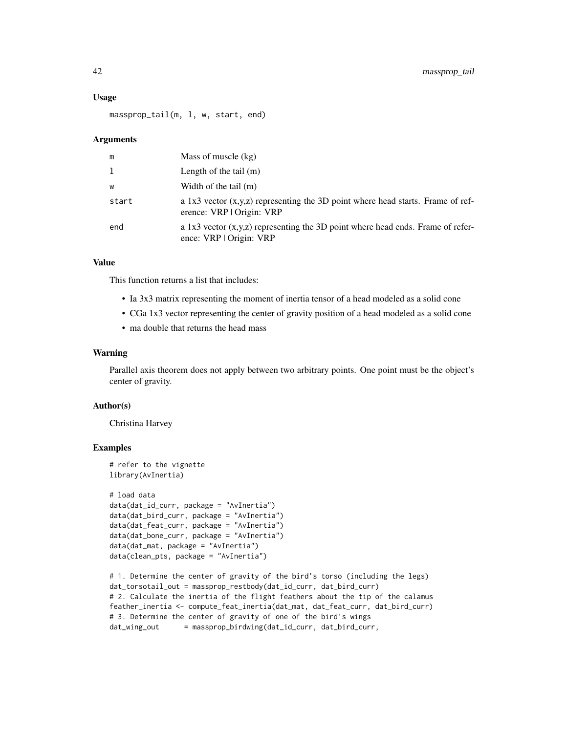#### Usage

massprop\_tail(m, l, w, start, end)

#### Arguments

| m     | Mass of muscle (kg)                                                                                            |
|-------|----------------------------------------------------------------------------------------------------------------|
| 1     | Length of the tail $(m)$                                                                                       |
| W     | Width of the tail (m)                                                                                          |
| start | a 1x3 vector $(x,y,z)$ representing the 3D point where head starts. Frame of ref-<br>erence: VRP   Origin: VRP |
| end   | a 1x3 vector $(x,y,z)$ representing the 3D point where head ends. Frame of refer-<br>ence: VRP   Origin: VRP   |

## Value

This function returns a list that includes:

- Ia 3x3 matrix representing the moment of inertia tensor of a head modeled as a solid cone
- CGa 1x3 vector representing the center of gravity position of a head modeled as a solid cone
- ma double that returns the head mass

## Warning

Parallel axis theorem does not apply between two arbitrary points. One point must be the object's center of gravity.

#### Author(s)

Christina Harvey

```
# refer to the vignette
library(AvInertia)
# load data
data(dat_id_curr, package = "AvInertia")
data(dat_bird_curr, package = "AvInertia")
data(dat_feat_curr, package = "AvInertia")
data(dat_bone_curr, package = "AvInertia")
data(dat_mat, package = "AvInertia")
data(clean_pts, package = "AvInertia")
```

```
# 1. Determine the center of gravity of the bird's torso (including the legs)
dat_torsotail_out = massprop_restbody(dat_id_curr, dat_bird_curr)
# 2. Calculate the inertia of the flight feathers about the tip of the calamus
feather_inertia <- compute_feat_inertia(dat_mat, dat_feat_curr, dat_bird_curr)
# 3. Determine the center of gravity of one of the bird's wings
dat_wing_out = massprop_birdwing(dat_id_curr, dat_bird_curr,
```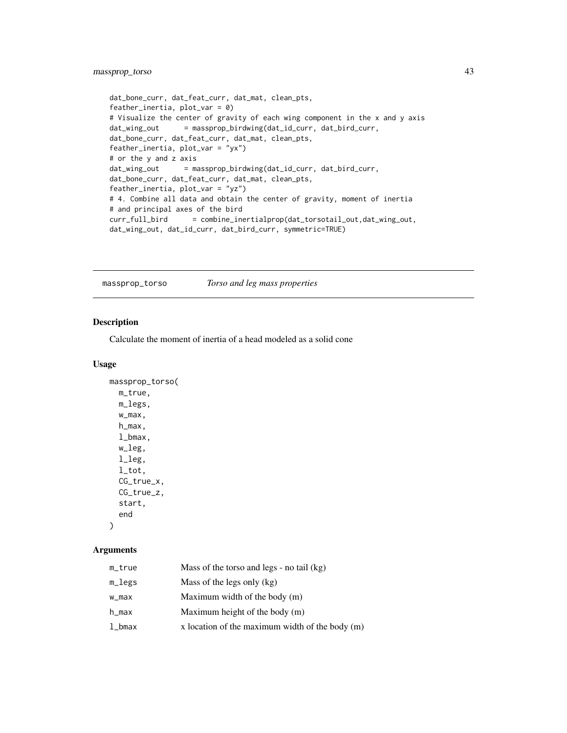## <span id="page-42-0"></span>massprop\_torso 43

```
dat_bone_curr, dat_feat_curr, dat_mat, clean_pts,
feather_inertia, plot_var = 0)
# Visualize the center of gravity of each wing component in the x and y axis
dat_wing_out = massprop_birdwing(dat_id_curr, dat_bird_curr,
dat_bone_curr, dat_feat_curr, dat_mat, clean_pts,
feather_inertia, plot_var = "yx")
# or the y and z axis
dat_wing_out = massprop_birdwing(dat_id_curr, dat_bird_curr,
dat_bone_curr, dat_feat_curr, dat_mat, clean_pts,
feather_inertia, plot_var = "yz")
# 4. Combine all data and obtain the center of gravity, moment of inertia
# and principal axes of the bird
curr_full_bird = combine_inertialprop(dat_torsotail_out,dat_wing_out,
dat_wing_out, dat_id_curr, dat_bird_curr, symmetric=TRUE)
```
massprop\_torso *Torso and leg mass properties*

## Description

Calculate the moment of inertia of a head modeled as a solid cone

#### Usage

```
massprop_torso(
  m_true,
  m_legs,
  w_max,
  h_max,
  l_bmax,
  w_leg,
  l_leg,
  l_tot,
  CG_true_x,
  CG_true_z,
  start,
  end
\lambda
```
## Arguments

| m_true | Mass of the torso and legs - no tail (kg)         |
|--------|---------------------------------------------------|
| m_legs | Mass of the legs only $(kg)$                      |
| w_max  | Maximum width of the body (m)                     |
| h_max  | Maximum height of the body $(m)$                  |
| l_bmax | x location of the maximum width of the body $(m)$ |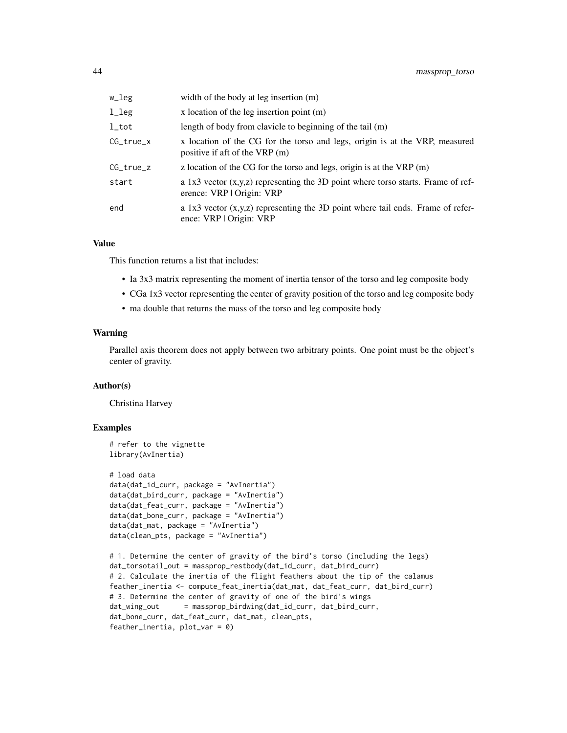| w_leg       | width of the body at leg insertion (m)                                                                          |
|-------------|-----------------------------------------------------------------------------------------------------------------|
| l_leg       | x location of the leg insertion point $(m)$                                                                     |
| $_{1\_tot}$ | length of body from clavicle to beginning of the tail (m)                                                       |
| CG_true_x   | x location of the CG for the torso and legs, origin is at the VRP, measured<br>positive if aft of the VRP (m)   |
| CG_true_z   | z location of the CG for the torso and legs, origin is at the $VRP(m)$                                          |
| start       | a 1x3 vector $(x,y,z)$ representing the 3D point where torso starts. Frame of ref-<br>erence: VRP   Origin: VRP |
| end         | a 1x3 vector $(x,y,z)$ representing the 3D point where tail ends. Frame of refer-<br>ence: VRP   Origin: VRP    |

#### Value

This function returns a list that includes:

- Ia 3x3 matrix representing the moment of inertia tensor of the torso and leg composite body
- CGa 1x3 vector representing the center of gravity position of the torso and leg composite body
- ma double that returns the mass of the torso and leg composite body

## Warning

Parallel axis theorem does not apply between two arbitrary points. One point must be the object's center of gravity.

#### Author(s)

Christina Harvey

```
# refer to the vignette
library(AvInertia)
# load data
data(dat_id_curr, package = "AvInertia")
data(dat_bird_curr, package = "AvInertia")
data(dat_feat_curr, package = "AvInertia")
data(dat_bone_curr, package = "AvInertia")
data(dat_mat, package = "AvInertia")
data(clean_pts, package = "AvInertia")
```

```
# 1. Determine the center of gravity of the bird's torso (including the legs)
dat_torsotail_out = massprop_restbody(dat_id_curr, dat_bird_curr)
# 2. Calculate the inertia of the flight feathers about the tip of the calamus
feather_inertia <- compute_feat_inertia(dat_mat, dat_feat_curr, dat_bird_curr)
# 3. Determine the center of gravity of one of the bird's wings
dat_wing_out = massprop_birdwing(dat_id_curr, dat_bird_curr,
dat_bone_curr, dat_feat_curr, dat_mat, clean_pts,
feather_inertia, plot_var = 0)
```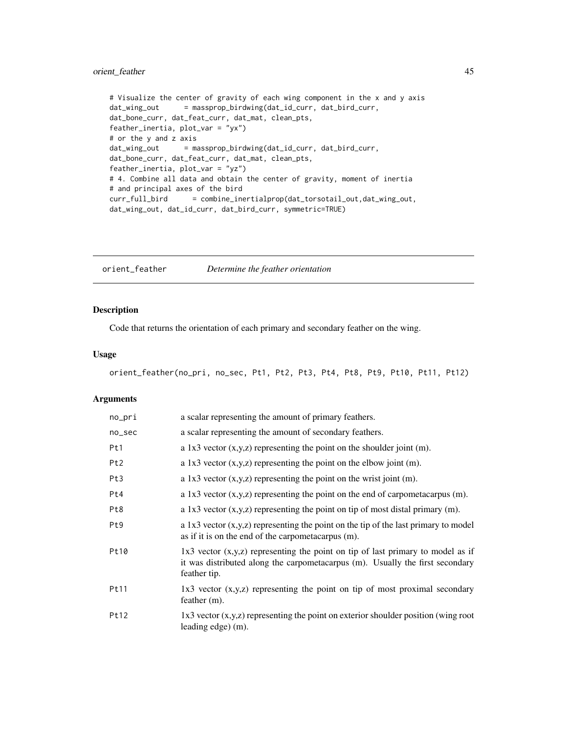## <span id="page-44-0"></span>orient\_feather 45

```
# Visualize the center of gravity of each wing component in the x and y axis
dat_wing_out = massprop_birdwing(dat_id_curr, dat_bird_curr,
dat_bone_curr, dat_feat_curr, dat_mat, clean_pts,
feather_inertia, plot_var = "yx")
# or the y and z axis
dat_wing_out = massprop_birdwing(dat_id_curr, dat_bird_curr,
dat_bone_curr, dat_feat_curr, dat_mat, clean_pts,
feather_inertia, plot_var = "yz")
# 4. Combine all data and obtain the center of gravity, moment of inertia
# and principal axes of the bird
curr_full_bird = combine_inertialprop(dat_torsotail_out,dat_wing_out,
dat_wing_out, dat_id_curr, dat_bird_curr, symmetric=TRUE)
```
orient\_feather *Determine the feather orientation*

## Description

Code that returns the orientation of each primary and secondary feather on the wing.

#### Usage

```
orient_feather(no_pri, no_sec, Pt1, Pt2, Pt3, Pt4, Pt8, Pt9, Pt10, Pt11, Pt12)
```
## Arguments

| no_pri          | a scalar representing the amount of primary feathers.                                                                                                                                |
|-----------------|--------------------------------------------------------------------------------------------------------------------------------------------------------------------------------------|
| no_sec          | a scalar representing the amount of secondary feathers.                                                                                                                              |
| Pt1             | a 1x3 vector $(x,y,z)$ representing the point on the shoulder joint $(m)$ .                                                                                                          |
| Pt <sub>2</sub> | a 1x3 vector $(x,y,z)$ representing the point on the elbow joint $(m)$ .                                                                                                             |
| Pt3             | a 1x3 vector $(x,y,z)$ representing the point on the wrist joint $(m)$ .                                                                                                             |
| Pt4             | a 1x3 vector $(x, y, z)$ representing the point on the end of carpometacarpus $(m)$ .                                                                                                |
| Pt8             | a 1x3 vector $(x,y,z)$ representing the point on tip of most distal primary $(m)$ .                                                                                                  |
| Pt <sub>9</sub> | a 1x3 vector $(x,y,z)$ representing the point on the tip of the last primary to model<br>as if it is on the end of the carpometacarpus (m).                                          |
| Pt10            | $1x3$ vector $(x,y,z)$ representing the point on tip of last primary to model as if<br>it was distributed along the carpometacarpus (m). Usually the first secondary<br>feather tip. |
| Pt11            | $1x3$ vector $(x,y,z)$ representing the point on tip of most proximal secondary<br>feather $(m)$ .                                                                                   |
| Pt12            | $1x3$ vector $(x,y,z)$ representing the point on exterior shoulder position (wing root<br>leading edge) (m).                                                                         |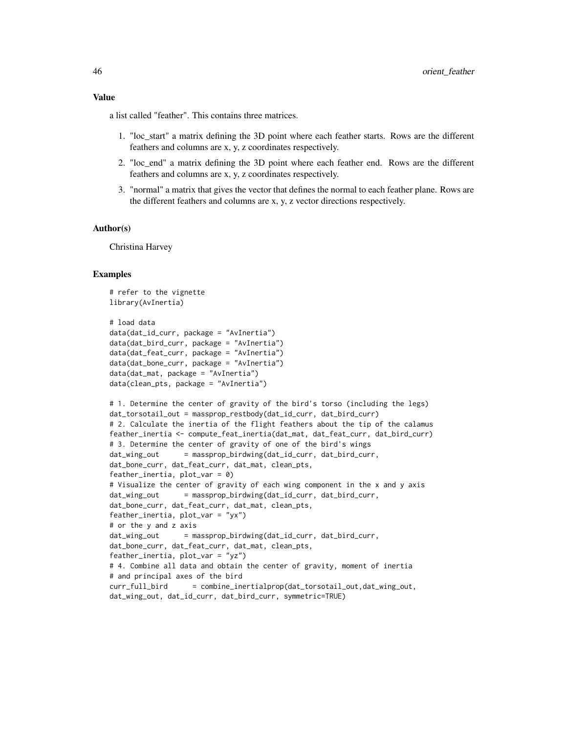#### Value

a list called "feather". This contains three matrices.

- 1. "loc\_start" a matrix defining the 3D point where each feather starts. Rows are the different feathers and columns are x, y, z coordinates respectively.
- 2. "loc\_end" a matrix defining the 3D point where each feather end. Rows are the different feathers and columns are x, y, z coordinates respectively.
- 3. "normal" a matrix that gives the vector that defines the normal to each feather plane. Rows are the different feathers and columns are x, y, z vector directions respectively.

#### Author(s)

Christina Harvey

```
# refer to the vignette
library(AvInertia)
# load data
data(dat_id_curr, package = "AvInertia")
data(dat_bird_curr, package = "AvInertia")
data(dat_feat_curr, package = "AvInertia")
data(dat_bone_curr, package = "AvInertia")
data(dat_mat, package = "AvInertia")
data(clean_pts, package = "AvInertia")
# 1. Determine the center of gravity of the bird's torso (including the legs)
dat_torsotail_out = massprop_restbody(dat_id_curr, dat_bird_curr)
# 2. Calculate the inertia of the flight feathers about the tip of the calamus
feather_inertia <- compute_feat_inertia(dat_mat, dat_feat_curr, dat_bird_curr)
# 3. Determine the center of gravity of one of the bird's wings
dat_wing_out = massprop_birdwing(dat_id_curr, dat_bird_curr,
dat_bone_curr, dat_feat_curr, dat_mat, clean_pts,
feather_inertia, plot_var = 0)
# Visualize the center of gravity of each wing component in the x and y axis
dat_wing_out = massprop_birdwing(dat_id_curr, dat_bird_curr,
dat_bone_curr, dat_feat_curr, dat_mat, clean_pts,
feather_inertia, plot_var = "yx")
# or the y and z axis
dat_wing_out = massprop_birdwing(dat_id_curr, dat_bird_curr,
dat_bone_curr, dat_feat_curr, dat_mat, clean_pts,
feather_inertia, plot_var = "yz")
# 4. Combine all data and obtain the center of gravity, moment of inertia
# and principal axes of the bird
curr_full_bird = combine_inertialprop(dat_torsotail_out,dat_wing_out,
dat_wing_out, dat_id_curr, dat_bird_curr, symmetric=TRUE)
```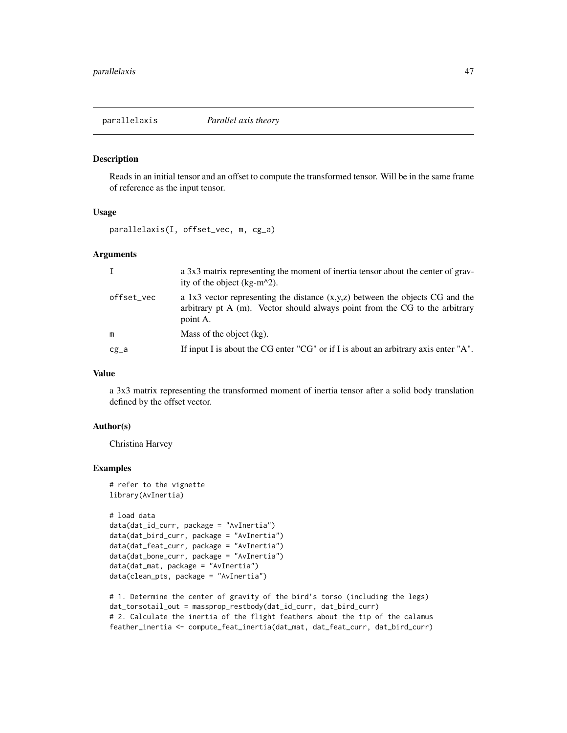<span id="page-46-0"></span>

#### Description

Reads in an initial tensor and an offset to compute the transformed tensor. Will be in the same frame of reference as the input tensor.

#### Usage

parallelaxis(I, offset\_vec, m, cg\_a)

## Arguments

| $\mathbf{I}$ | a 3x3 matrix representing the moment of inertia tensor about the center of grav-<br>ity of the object $(kg-m^2)$ .                                                         |
|--------------|----------------------------------------------------------------------------------------------------------------------------------------------------------------------------|
| offset_vec   | a 1x3 vector representing the distance $(x,y,z)$ between the objects CG and the<br>arbitrary pt A (m). Vector should always point from the CG to the arbitrary<br>point A. |
| m            | Mass of the object (kg).                                                                                                                                                   |
| cg_a         | If input I is about the CG enter "CG" or if I is about an arbitrary axis enter "A".                                                                                        |

#### Value

a 3x3 matrix representing the transformed moment of inertia tensor after a solid body translation defined by the offset vector.

## Author(s)

Christina Harvey

```
# refer to the vignette
library(AvInertia)
```

```
# load data
data(dat_id_curr, package = "AvInertia")
data(dat_bird_curr, package = "AvInertia")
data(dat_feat_curr, package = "AvInertia")
data(dat_bone_curr, package = "AvInertia")
data(dat_mat, package = "AvInertia")
data(clean_pts, package = "AvInertia")
```

```
# 1. Determine the center of gravity of the bird's torso (including the legs)
dat_torsotail_out = massprop_restbody(dat_id_curr, dat_bird_curr)
# 2. Calculate the inertia of the flight feathers about the tip of the calamus
feather_inertia <- compute_feat_inertia(dat_mat, dat_feat_curr, dat_bird_curr)
```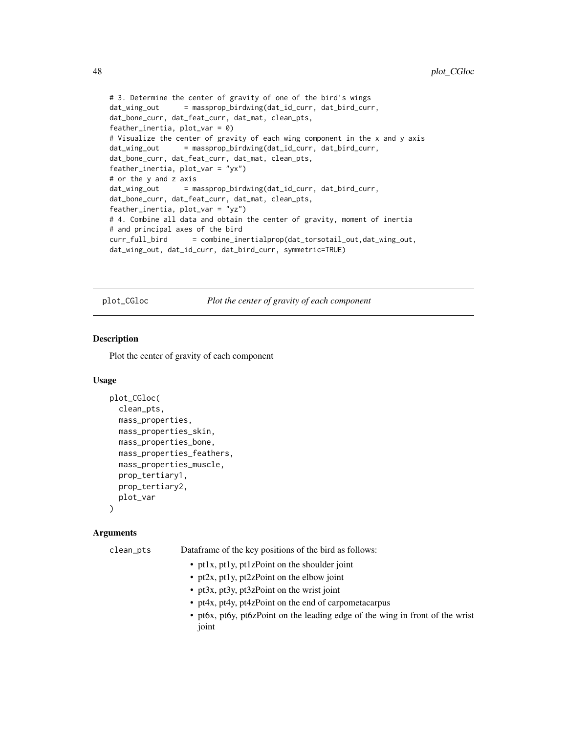```
# 3. Determine the center of gravity of one of the bird's wings
dat_wing_out = massprop_birdwing(dat_id_curr, dat_bird_curr,
dat_bone_curr, dat_feat_curr, dat_mat, clean_pts,
feather_inertia, plot\_var = 0)
# Visualize the center of gravity of each wing component in the x and y axis
dat_wing_out = massprop_birdwing(dat_id_curr, dat_bird_curr,
dat_bone_curr, dat_feat_curr, dat_mat, clean_pts,
feather_inertia, plot_var = "yx")
# or the y and z axis
dat_wing_out = massprop_birdwing(dat_id_curr, dat_bird_curr,
dat_bone_curr, dat_feat_curr, dat_mat, clean_pts,
feather_inertia, plot_var = "yz")
# 4. Combine all data and obtain the center of gravity, moment of inertia
# and principal axes of the bird
curr_full_bird = combine_inertialprop(dat_torsotail_out,dat_wing_out,
dat_wing_out, dat_id_curr, dat_bird_curr, symmetric=TRUE)
```
plot\_CGloc *Plot the center of gravity of each component*

## Description

Plot the center of gravity of each component

## Usage

```
plot_CGloc(
 clean_pts,
  mass_properties,
 mass_properties_skin,
  mass_properties_bone,
  mass_properties_feathers,
  mass_properties_muscle,
  prop_tertiary1,
 prop_tertiary2,
  plot_var
)
```
#### Arguments

| clean_pts | Dataframe of the key positions of the bird as follows:                                 |
|-----------|----------------------------------------------------------------------------------------|
|           | • pt1x, pt1y, pt1zPoint on the shoulder joint                                          |
|           | • pt2x, pt1y, pt2zPoint on the elbow joint                                             |
|           | • pt3x, pt3y, pt3zPoint on the wrist joint                                             |
|           | • pt4x, pt4y, pt4zPoint on the end of carpometacarpus                                  |
|           | • pt6x, pt6y, pt6zPoint on the leading edge of the wing in front of the wrist<br>joint |

<span id="page-47-0"></span>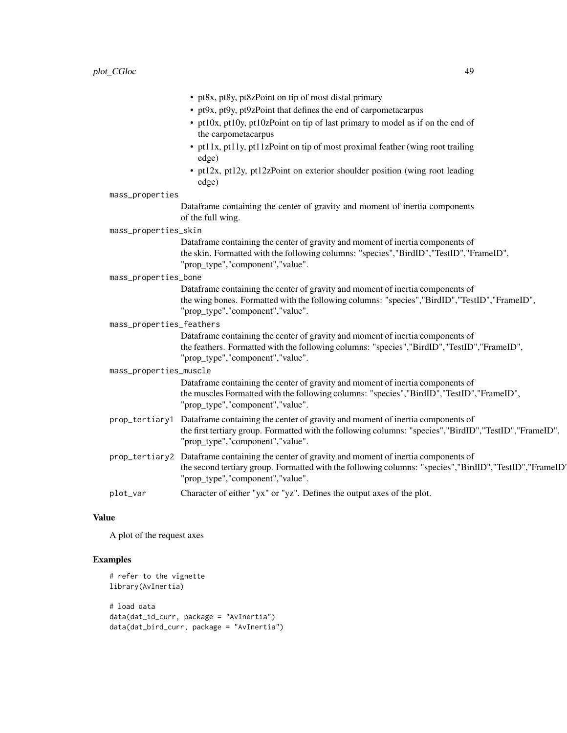|                          | • pt8x, pt8y, pt8zPoint on tip of most distal primary                                                                                                                                                                                          |  |  |
|--------------------------|------------------------------------------------------------------------------------------------------------------------------------------------------------------------------------------------------------------------------------------------|--|--|
|                          | • pt9x, pt9y, pt9zPoint that defines the end of carpometacarpus                                                                                                                                                                                |  |  |
|                          | • pt10x, pt10y, pt10zPoint on tip of last primary to model as if on the end of<br>the carpometacarpus                                                                                                                                          |  |  |
|                          | • pt11x, pt11y, pt11zPoint on tip of most proximal feather (wing root trailing<br>edge)                                                                                                                                                        |  |  |
|                          | • pt12x, pt12y, pt12zPoint on exterior shoulder position (wing root leading<br>edge)                                                                                                                                                           |  |  |
| mass_properties          |                                                                                                                                                                                                                                                |  |  |
|                          | Dataframe containing the center of gravity and moment of inertia components<br>of the full wing.                                                                                                                                               |  |  |
| mass_properties_skin     |                                                                                                                                                                                                                                                |  |  |
|                          | Dataframe containing the center of gravity and moment of inertia components of<br>the skin. Formatted with the following columns: "species","BirdID","TestID","FrameID",<br>"prop_type","component","value".                                   |  |  |
| mass_properties_bone     |                                                                                                                                                                                                                                                |  |  |
|                          | Dataframe containing the center of gravity and moment of inertia components of<br>the wing bones. Formatted with the following columns: "species", "BirdID", "TestID", "FrameID",<br>"prop_type","component","value".                          |  |  |
| mass_properties_feathers |                                                                                                                                                                                                                                                |  |  |
|                          | Dataframe containing the center of gravity and moment of inertia components of<br>the feathers. Formatted with the following columns: "species", "BirdID", "TestID", "FrameID",<br>"prop_type","component","value".                            |  |  |
| mass_properties_muscle   |                                                                                                                                                                                                                                                |  |  |
|                          | Dataframe containing the center of gravity and moment of inertia components of<br>the muscles Formatted with the following columns: "species","BirdID","TestID","FrameID",<br>"prop_type","component","value".                                 |  |  |
| prop_tertiary1           | Dataframe containing the center of gravity and moment of inertia components of<br>the first tertiary group. Formatted with the following columns: "species","BirdID","TestID", "FrameID",<br>"prop_type","component","value".                  |  |  |
|                          | prop_tertiary2 Dataframe containing the center of gravity and moment of inertia components of<br>the second tertiary group. Formatted with the following columns: "species", "BirdID", "TestID", "FrameID'<br>"prop_type","component","value". |  |  |
| plot_var                 | Character of either "yx" or "yz". Defines the output axes of the plot.                                                                                                                                                                         |  |  |

## Value

A plot of the request axes

```
# refer to the vignette
library(AvInertia)
# load data
data(dat_id_curr, package = "AvInertia")
data(dat_bird_curr, package = "AvInertia")
```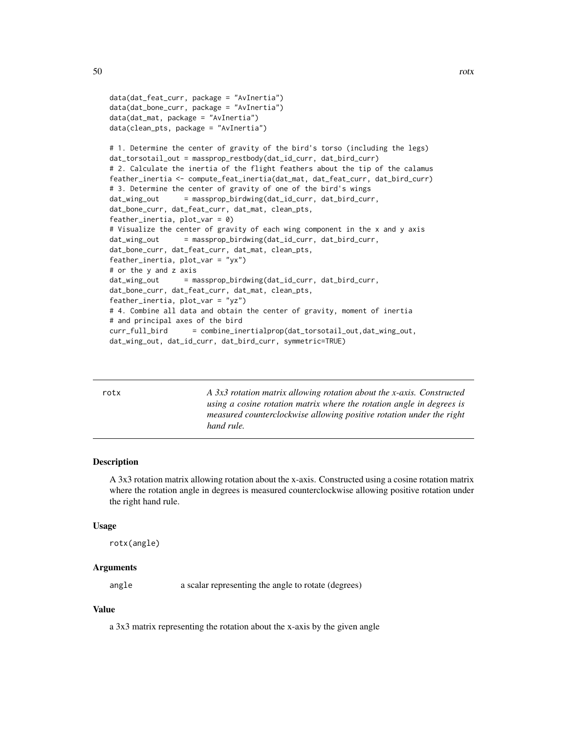```
data(dat_feat_curr, package = "AvInertia")
data(dat_bone_curr, package = "AvInertia")
data(dat_mat, package = "AvInertia")
data(clean_pts, package = "AvInertia")
# 1. Determine the center of gravity of the bird's torso (including the legs)
dat_torsotail_out = massprop_restbody(dat_id_curr, dat_bird_curr)
# 2. Calculate the inertia of the flight feathers about the tip of the calamus
feather_inertia <- compute_feat_inertia(dat_mat, dat_feat_curr, dat_bird_curr)
# 3. Determine the center of gravity of one of the bird's wings
dat_wing_out = massprop_birdwing(dat_id_curr, dat_bird_curr,
dat_bone_curr, dat_feat_curr, dat_mat, clean_pts,
feather_inertia, plot_var = 0)
# Visualize the center of gravity of each wing component in the x and y axis
dat_wing_out = massprop_birdwing(dat_id_curr, dat_bird_curr,
dat_bone_curr, dat_feat_curr, dat_mat, clean_pts,
feather_inertia, plot_var = "yx")
# or the y and z axis
dat_wing_out = massprop_birdwing(dat_id_curr, dat_bird_curr,
dat_bone_curr, dat_feat_curr, dat_mat, clean_pts,
feather_inertia, plot_var = "yz")
# 4. Combine all data and obtain the center of gravity, moment of inertia
# and principal axes of the bird
curr_full_bird = combine_inertialprop(dat_torsotail_out,dat_wing_out,
dat_wing_out, dat_id_curr, dat_bird_curr, symmetric=TRUE)
```
rotx *A 3x3 rotation matrix allowing rotation about the x-axis. Constructed using a cosine rotation matrix where the rotation angle in degrees is measured counterclockwise allowing positive rotation under the right hand rule.*

#### Description

A 3x3 rotation matrix allowing rotation about the x-axis. Constructed using a cosine rotation matrix where the rotation angle in degrees is measured counterclockwise allowing positive rotation under the right hand rule.

#### Usage

rotx(angle)

#### Arguments

angle a scalar representing the angle to rotate (degrees)

#### Value

a 3x3 matrix representing the rotation about the x-axis by the given angle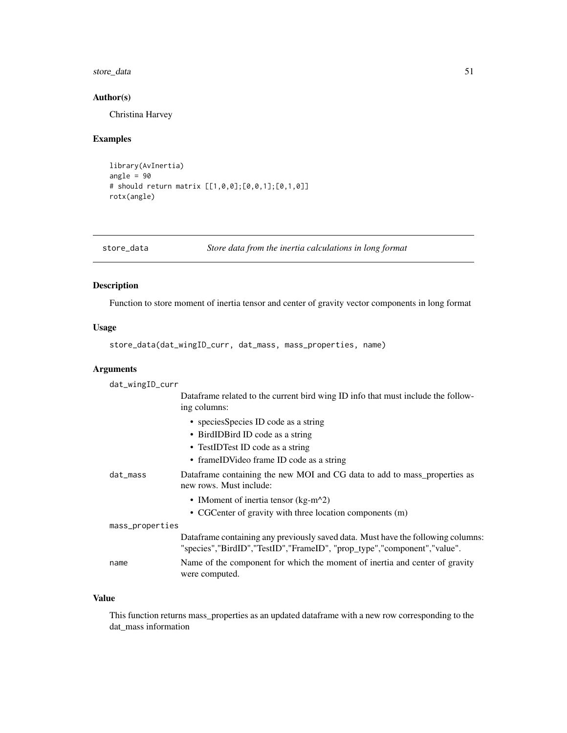## <span id="page-50-0"></span>store\_data 51

## Author(s)

Christina Harvey

## Examples

```
library(AvInertia)
angle = 90
# should return matrix [[1,0,0];[0,0,1];[0,1,0]]
rotx(angle)
```

| store_data | Store data from the inertia calculations in long format |  |
|------------|---------------------------------------------------------|--|
|------------|---------------------------------------------------------|--|

## Description

Function to store moment of inertia tensor and center of gravity vector components in long format

## Usage

```
store_data(dat_wingID_curr, dat_mass, mass_properties, name)
```
## Arguments

| dat_wingID_curr |                                                                                                                                                              |
|-----------------|--------------------------------------------------------------------------------------------------------------------------------------------------------------|
|                 | Dataframe related to the current bird wing ID info that must include the follow-<br>ing columns:                                                             |
|                 | • species Species ID code as a string                                                                                                                        |
|                 | • BirdIDBird ID code as a string                                                                                                                             |
|                 | • TestIDTest ID code as a string                                                                                                                             |
|                 | • frameIDVideo frame ID code as a string                                                                                                                     |
| dat_mass        | Dataframe containing the new MOI and CG data to add to mass_properties as<br>new rows. Must include:                                                         |
|                 | • IMoment of inertia tensor ( $kg-m^2$ )                                                                                                                     |
|                 | • CGC enter of gravity with three location components (m)                                                                                                    |
| mass_properties |                                                                                                                                                              |
|                 | Data frame containing any previously saved data. Must have the following columns:<br>"species","BirdID","TestID","FrameID", "prop_type","component","value". |
| name            | Name of the component for which the moment of inertia and center of gravity<br>were computed.                                                                |

## Value

This function returns mass\_properties as an updated dataframe with a new row corresponding to the dat\_mass information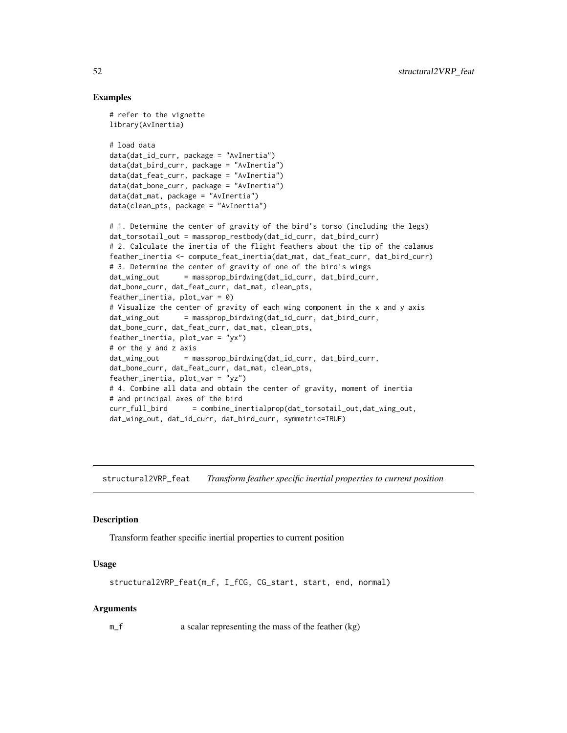## Examples

```
# refer to the vignette
library(AvInertia)
# load data
data(dat_id_curr, package = "AvInertia")
data(dat_bird_curr, package = "AvInertia")
data(dat_feat_curr, package = "AvInertia")
data(dat_bone_curr, package = "AvInertia")
data(dat_mat, package = "AvInertia")
data(clean_pts, package = "AvInertia")
# 1. Determine the center of gravity of the bird's torso (including the legs)
dat_torsotail_out = massprop_restbody(dat_id_curr, dat_bird_curr)
# 2. Calculate the inertia of the flight feathers about the tip of the calamus
feather_inertia <- compute_feat_inertia(dat_mat, dat_feat_curr, dat_bird_curr)
# 3. Determine the center of gravity of one of the bird's wings
dat_wing_out = massprop_birdwing(dat_id_curr, dat_bird_curr,
dat_bone_curr, dat_feat_curr, dat_mat, clean_pts,
feather_inertia, plot_{var} = 0)
# Visualize the center of gravity of each wing component in the x and y axis
dat_wing_out = massprop_birdwing(dat_id_curr, dat_bird_curr,
dat_bone_curr, dat_feat_curr, dat_mat, clean_pts,
feather_inertia, plot_{var} = "yx")# or the y and z axis
dat_wing_out = massprop_birdwing(dat_id_curr, dat_bird_curr,
dat_bone_curr, dat_feat_curr, dat_mat, clean_pts,
feather_inertia, plot_var = "yz")
# 4. Combine all data and obtain the center of gravity, moment of inertia
# and principal axes of the bird
curr_full_bird = combine_inertialprop(dat_torsotail_out,dat_wing_out,
dat_wing_out, dat_id_curr, dat_bird_curr, symmetric=TRUE)
```
structural2VRP\_feat *Transform feather specific inertial properties to current position*

#### Description

Transform feather specific inertial properties to current position

## Usage

```
structural2VRP_feat(m_f, I_fCG, CG_start, start, end, normal)
```
#### Arguments

m\_f a scalar representing the mass of the feather (kg)

<span id="page-51-0"></span>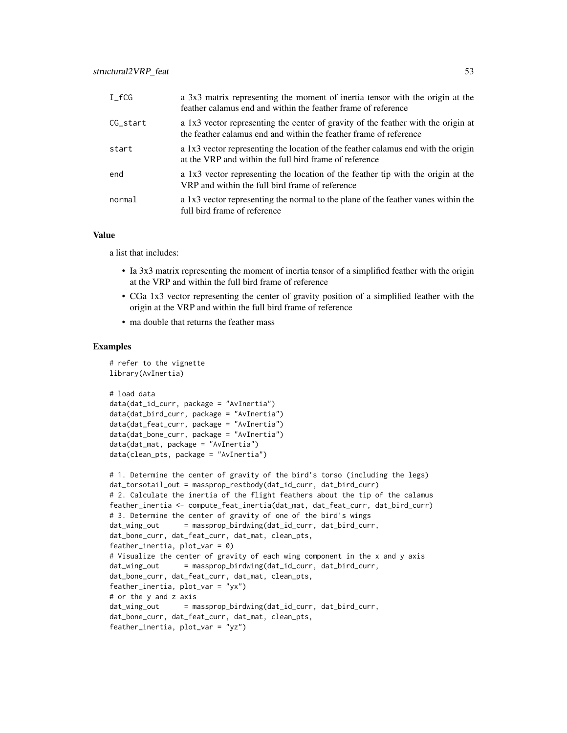| $I_fCG$     | a 3x3 matrix representing the moment of inertia tensor with the origin at the<br>feather calamus end and within the feather frame of reference         |
|-------------|--------------------------------------------------------------------------------------------------------------------------------------------------------|
| $CG\_start$ | a 1x3 vector representing the center of gravity of the feather with the origin at<br>the feather calamus end and within the feather frame of reference |
| start       | a 1x3 vector representing the location of the feather calamus end with the origin<br>at the VRP and within the full bird frame of reference            |
| end         | a 1x3 vector representing the location of the feather tip with the origin at the<br>VRP and within the full bird frame of reference                    |
| normal      | a 1x3 vector representing the normal to the plane of the feather vanes within the<br>full bird frame of reference                                      |

## Value

a list that includes:

- Ia 3x3 matrix representing the moment of inertia tensor of a simplified feather with the origin at the VRP and within the full bird frame of reference
- CGa 1x3 vector representing the center of gravity position of a simplified feather with the origin at the VRP and within the full bird frame of reference
- ma double that returns the feather mass

```
# refer to the vignette
library(AvInertia)
# load data
data(dat_id_curr, package = "AvInertia")
data(dat_bird_curr, package = "AvInertia")
data(dat_feat_curr, package = "AvInertia")
data(dat_bone_curr, package = "AvInertia")
data(dat_mat, package = "AvInertia")
data(clean_pts, package = "AvInertia")
# 1. Determine the center of gravity of the bird's torso (including the legs)
dat_torsotail_out = massprop_restbody(dat_id_curr, dat_bird_curr)
# 2. Calculate the inertia of the flight feathers about the tip of the calamus
feather_inertia <- compute_feat_inertia(dat_mat, dat_feat_curr, dat_bird_curr)
# 3. Determine the center of gravity of one of the bird's wings
dat_wing_out = massprop_birdwing(dat_id_curr, dat_bird_curr,
dat_bone_curr, dat_feat_curr, dat_mat, clean_pts,
feather_inertia, plot_var = 0)
# Visualize the center of gravity of each wing component in the x and y axis
dat_wing_out = massprop_birdwing(dat_id_curr, dat_bird_curr,
dat_bone_curr, dat_feat_curr, dat_mat, clean_pts,
feather_inertia, plot_var = "yx")
# or the y and z axis
dat_wing_out = massprop_birdwing(dat_id_curr, dat_bird_curr,
dat_bone_curr, dat_feat_curr, dat_mat, clean_pts,
feather_inertia, plot_var = "yz")
```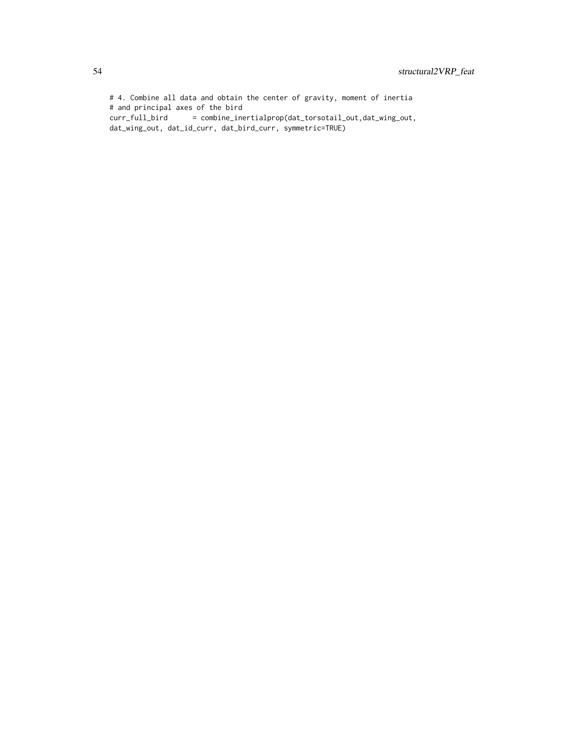# 4. Combine all data and obtain the center of gravity, moment of inertia # and principal axes of the bird curr\_full\_bird = combine\_inertialprop(dat\_torsotail\_out,dat\_wing\_out, dat\_wing\_out, dat\_id\_curr, dat\_bird\_curr, symmetric=TRUE)